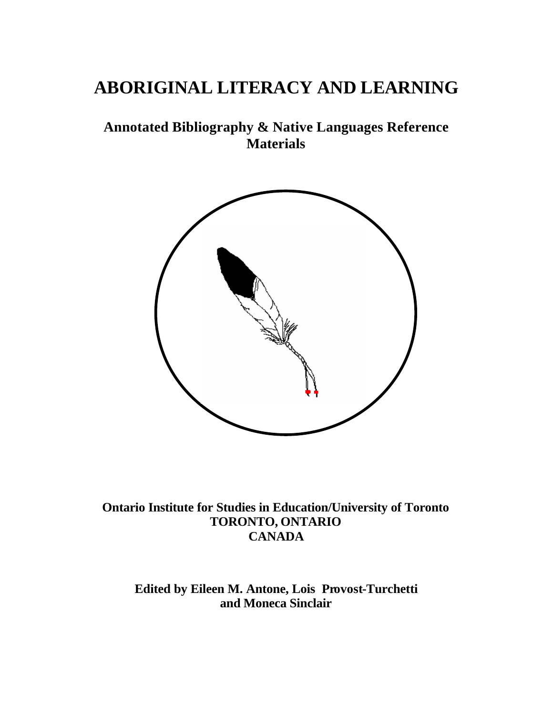# **ABORIGINAL LITERACY AND LEARNING**

## **Annotated Bibliography & Native Languages Reference Materials**



**Ontario Institute for Studies in Education/University of Toronto TORONTO, ONTARIO CANADA**

**Edited by Eileen M. Antone, Lois Provost-Turchetti and Moneca Sinclair**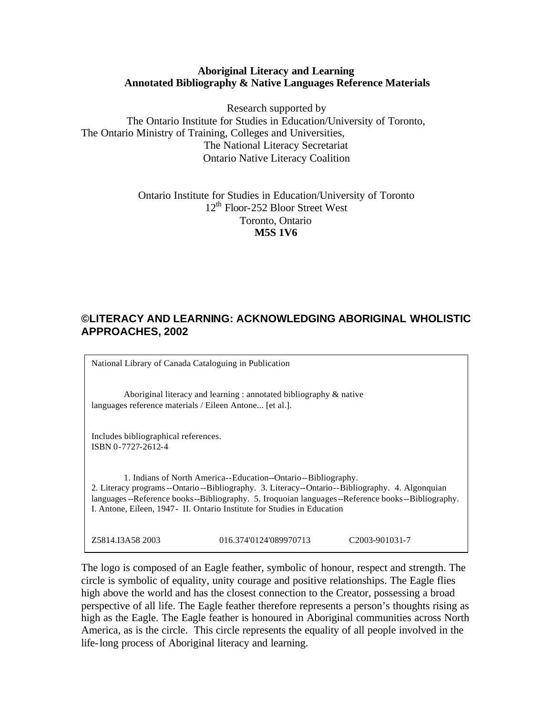#### **Aboriginal Literacy and Learning Annotated Bibliography & Native Languages Reference Materials**

Research supported by The Ontario Institute for Studies in Education/University of Toronto, The Ontario Ministry of Training, Colleges and Universities, The National Literacy Secretariat Ontario Native Literacy Coalition

> Ontario Institute for Studies in Education/University of Toronto 12<sup>th</sup> Floor-252 Bloor Street West Toronto, Ontario **M5S 1V6**

## **©LITERACY AND LEARNING: ACKNOWLEDGING ABORIGINAL WHOLISTIC APPROACHES, 2002**

National Library of Canada Cataloguing in Publication

Aboriginal literacy and learning : annotated bibliography & native languages reference materials / Eileen Antone... [et al.].

Includes bibliographical references. ISBN 0-7727-2612-4

1. Indians of North America--Education--Ontario--Bibliography. 2. Literacy programs--Ontario --Bibliography. 3. Literacy--Ontario--Bibliography. 4. Algonquian languages--Reference books--Bibliography. 5. Iroquoian languages--Reference books--Bibliography. I. Antone, Eileen, 1947- II. Ontario Institute for Studies in Education

Z5814.I3A58 2003 016.374'0124'089970713 C2003-901031-7

The logo is composed of an Eagle feather, symbolic of honour, respect and strength. The circle is symbolic of equality, unity courage and positive relationships. The Eagle flies high above the world and has the closest connection to the Creator, possessing a broad perspective of all life. The Eagle feather therefore represents a person's thoughts rising as high as the Eagle. The Eagle feather is honoured in Aboriginal communities across North America, as is the circle. This circle represents the equality of all people involved in the life-long process of Aboriginal literacy and learning.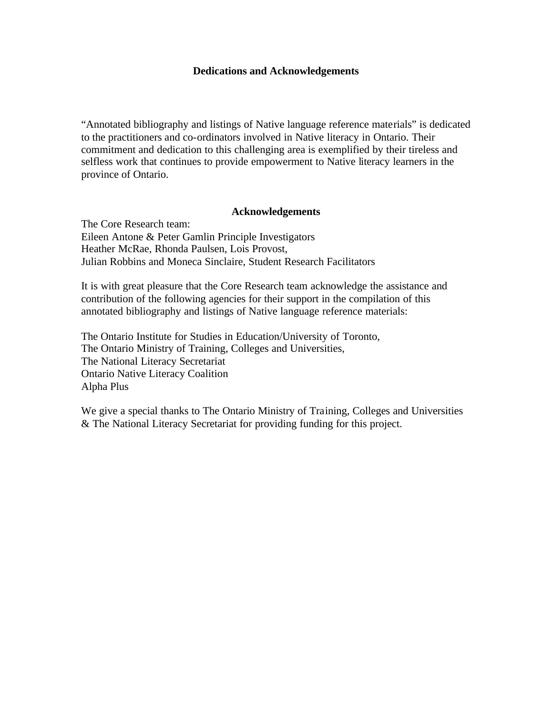#### **Dedications and Acknowledgements**

<span id="page-2-0"></span>"Annotated bibliography and listings of Native language reference materials" is dedicated to the practitioners and co-ordinators involved in Native literacy in Ontario. Their commitment and dedication to this challenging area is exemplified by their tireless and selfless work that continues to provide empowerment to Native literacy learners in the province of Ontario.

#### **Acknowledgements**

The Core Research team: Eileen Antone & Peter Gamlin Principle Investigators Heather McRae, Rhonda Paulsen, Lois Provost, Julian Robbins and Moneca Sinclaire, Student Research Facilitators

It is with great pleasure that the Core Research team acknowledge the assistance and contribution of the following agencies for their support in the compilation of this annotated bibliography and listings of Native language reference materials:

The Ontario Institute for Studies in Education/University of Toronto, The Ontario Ministry of Training, Colleges and Universities, The National Literacy Secretariat Ontario Native Literacy Coalition Alpha Plus

We give a special thanks to The Ontario Ministry of Training, Colleges and Universities & The National Literacy Secretariat for providing funding for this project.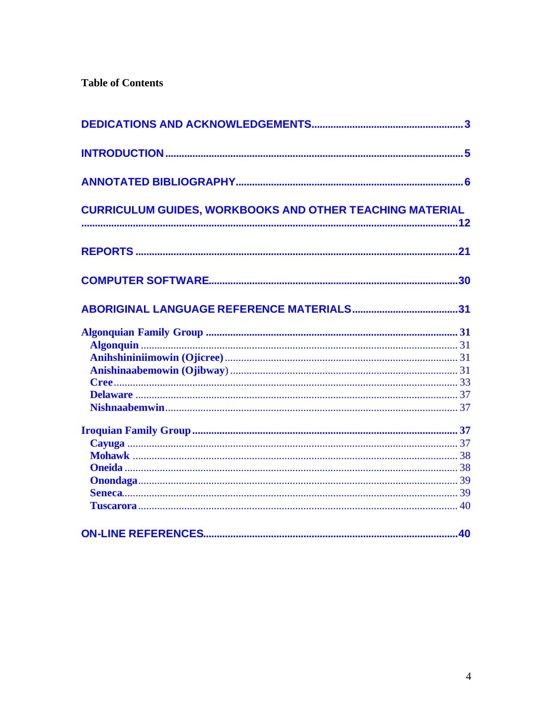## **Table of Contents**

| <b>CURRICULUM GUIDES, WORKBOOKS AND OTHER TEACHING MATERIAL</b> |  |
|-----------------------------------------------------------------|--|
|                                                                 |  |
|                                                                 |  |
|                                                                 |  |
|                                                                 |  |
|                                                                 |  |
|                                                                 |  |
|                                                                 |  |
|                                                                 |  |
|                                                                 |  |
|                                                                 |  |
|                                                                 |  |
|                                                                 |  |
|                                                                 |  |
|                                                                 |  |
|                                                                 |  |
|                                                                 |  |
|                                                                 |  |
|                                                                 |  |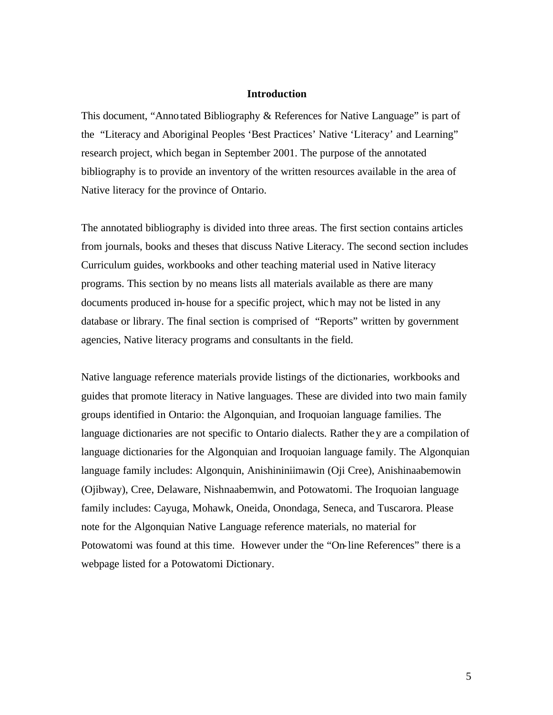#### **Introduction**

<span id="page-4-0"></span>This document, "Annotated Bibliography & References for Native Language" is part of the "Literacy and Aboriginal Peoples 'Best Practices' Native 'Literacy' and Learning" research project, which began in September 2001. The purpose of the annotated bibliography is to provide an inventory of the written resources available in the area of Native literacy for the province of Ontario.

The annotated bibliography is divided into three areas. The first section contains articles from journals, books and theses that discuss Native Literacy. The second section includes Curriculum guides, workbooks and other teaching material used in Native literacy programs. This section by no means lists all materials available as there are many documents produced in-house for a specific project, which may not be listed in any database or library. The final section is comprised of "Reports" written by government agencies, Native literacy programs and consultants in the field.

Native language reference materials provide listings of the dictionaries, workbooks and guides that promote literacy in Native languages. These are divided into two main family groups identified in Ontario: the Algonquian, and Iroquoian language families. The language dictionaries are not specific to Ontario dialects. Rather they are a compilation of language dictionaries for the Algonquian and Iroquoian language family. The Algonquian language family includes: Algonquin, Anishininiimawin (Oji Cree), Anishinaabemowin (Ojibway), Cree, Delaware, Nishnaabemwin, and Potowatomi. The Iroquoian language family includes: Cayuga, Mohawk, Oneida, Onondaga, Seneca, and Tuscarora. Please note for the Algonquian Native Language reference materials, no material for Potowatomi was found at this time. However under the "On-line References" there is a webpage listed for a Potowatomi Dictionary.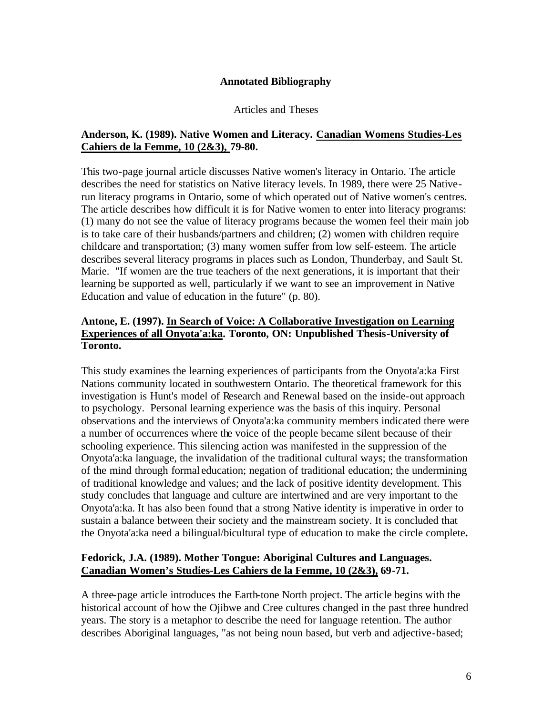#### **Annotated Bibliography**

#### Articles and Theses

#### <span id="page-5-0"></span>**Anderson, K. (1989). Native Women and Literacy. Canadian Womens Studies-Les Cahiers de la Femme, 10 (2&3), 79-80.**

This two-page journal article discusses Native women's literacy in Ontario. The article describes the need for statistics on Native literacy levels. In 1989, there were 25 Nativerun literacy programs in Ontario, some of which operated out of Native women's centres. The article describes how difficult it is for Native women to enter into literacy programs: (1) many do not see the value of literacy programs because the women feel their main job is to take care of their husbands/partners and children; (2) women with children require childcare and transportation; (3) many women suffer from low self-esteem. The article describes several literacy programs in places such as London, Thunderbay, and Sault St. Marie. "If women are the true teachers of the next generations, it is important that their learning be supported as well, particularly if we want to see an improvement in Native Education and value of education in the future" (p. 80).

## **Antone, E. (1997). In Search of Voice: A Collaborative Investigation on Learning Experiences of all Onyota'a:ka. Toronto, ON: Unpublished Thesis-University of Toronto.**

This study examines the learning experiences of participants from the Onyota'a:ka First Nations community located in southwestern Ontario. The theoretical framework for this investigation is Hunt's model of Research and Renewal based on the inside-out approach to psychology. Personal learning experience was the basis of this inquiry. Personal observations and the interviews of Onyota'a:ka community members indicated there were a number of occurrences where the voice of the people became silent because of their schooling experience. This silencing action was manifested in the suppression of the Onyota'a:ka language, the invalidation of the traditional cultural ways; the transformation of the mind through formal education; negation of traditional education; the undermining of traditional knowledge and values; and the lack of positive identity development. This study concludes that language and culture are intertwined and are very important to the Onyota'a:ka. It has also been found that a strong Native identity is imperative in order to sustain a balance between their society and the mainstream society. It is concluded that the Onyota'a:ka need a bilingual/bicultural type of education to make the circle complete**.**

## **Fedorick, J.A. (1989). Mother Tongue: Aboriginal Cultures and Languages. Canadian Women's Studies-Les Cahiers de la Femme, 10 (2&3), 69-71.**

A three-page article introduces the Earth-tone North project. The article begins with the historical account of how the Ojibwe and Cree cultures changed in the past three hundred years. The story is a metaphor to describe the need for language retention. The author describes Aboriginal languages, "as not being noun based, but verb and adjective-based;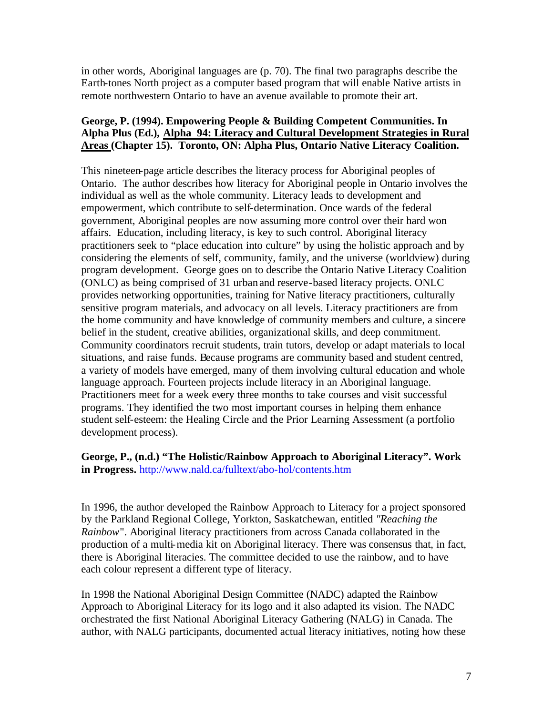in other words, Aboriginal languages are (p. 70). The final two paragraphs describe the Earth-tones North project as a computer based program that will enable Native artists in remote northwestern Ontario to have an avenue available to promote their art.

## **George, P. (1994). Empowering People & Building Competent Communities. In Alpha Plus (Ed.), Alpha 94: Literacy and Cultural Development Strategies in Rural Areas (Chapter 15). Toronto, ON: Alpha Plus, Ontario Native Literacy Coalition.**

This nineteen-page article describes the literacy process for Aboriginal peoples of Ontario. The author describes how literacy for Aboriginal people in Ontario involves the individual as well as the whole community. Literacy leads to development and empowerment, which contribute to self-determination. Once wards of the federal government, Aboriginal peoples are now assuming more control over their hard won affairs. Education, including literacy, is key to such control. Aboriginal literacy practitioners seek to "place education into culture" by using the holistic approach and by considering the elements of self, community, family, and the universe (worldview) during program development. George goes on to describe the Ontario Native Literacy Coalition (ONLC) as being comprised of 31 urban and reserve-based literacy projects. ONLC provides networking opportunities, training for Native literacy practitioners, culturally sensitive program materials, and advocacy on all levels. Literacy practitioners are from the home community and have knowledge of community members and culture, a sincere belief in the student, creative abilities, organizational skills, and deep commitment. Community coordinators recruit students, train tutors, develop or adapt materials to local situations, and raise funds. Because programs are community based and student centred, a variety of models have emerged, many of them involving cultural education and whole language approach. Fourteen projects include literacy in an Aboriginal language. Practitioners meet for a week every three months to take courses and visit successful programs. They identified the two most important courses in helping them enhance student self-esteem: the Healing Circle and the Prior Learning Assessment (a portfolio development process).

## **George, P., (n.d.) "The Holistic/Rainbow Approach to Aboriginal Literacy". Work in Progress.** <http://www.nald.ca/fulltext/abo-hol/contents.htm>

In 1996, the author developed the Rainbow Approach to Literacy for a project sponsored by the Parkland Regional College, Yorkton, Saskatchewan, entitled *"Reaching the Rainbow*". Aboriginal literacy practitioners from across Canada collaborated in the production of a multi-media kit on Aboriginal literacy. There was consensus that, in fact, there is Aboriginal literacies. The committee decided to use the rainbow, and to have each colour represent a different type of literacy.

In 1998 the National Aboriginal Design Committee (NADC) adapted the Rainbow Approach to Aboriginal Literacy for its logo and it also adapted its vision. The NADC orchestrated the first National Aboriginal Literacy Gathering (NALG) in Canada. The author, with NALG participants, documented actual literacy initiatives, noting how these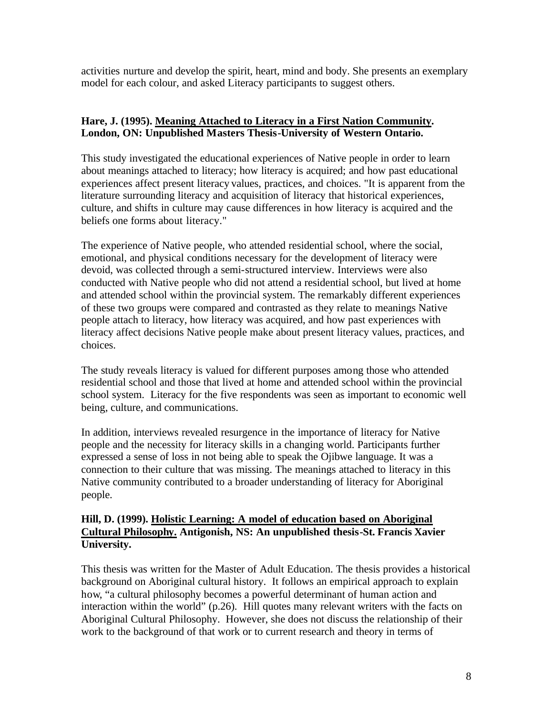activities nurture and develop the spirit, heart, mind and body. She presents an exemplary model for each colour, and asked Literacy participants to suggest others.

## **Hare, J. (1995). Meaning Attached to Literacy in a First Nation Community. London, ON: Unpublished Masters Thesis-University of Western Ontario.**

This study investigated the educational experiences of Native people in order to learn about meanings attached to literacy; how literacy is acquired; and how past educational experiences affect present literacy values, practices, and choices. "It is apparent from the literature surrounding literacy and acquisition of literacy that historical experiences, culture, and shifts in culture may cause differences in how literacy is acquired and the beliefs one forms about literacy."

The experience of Native people, who attended residential school, where the social, emotional, and physical conditions necessary for the development of literacy were devoid, was collected through a semi-structured interview. Interviews were also conducted with Native people who did not attend a residential school, but lived at home and attended school within the provincial system. The remarkably different experiences of these two groups were compared and contrasted as they relate to meanings Native people attach to literacy, how literacy was acquired, and how past experiences with literacy affect decisions Native people make about present literacy values, practices, and choices.

The study reveals literacy is valued for different purposes among those who attended residential school and those that lived at home and attended school within the provincial school system. Literacy for the five respondents was seen as important to economic well being, culture, and communications.

In addition, interviews revealed resurgence in the importance of literacy for Native people and the necessity for literacy skills in a changing world. Participants further expressed a sense of loss in not being able to speak the Ojibwe language. It was a connection to their culture that was missing. The meanings attached to literacy in this Native community contributed to a broader understanding of literacy for Aboriginal people.

## **Hill, D. (1999). Holistic Learning: A model of education based on Aboriginal Cultural Philosophy. Antigonish, NS: An unpublished thesis-St. Francis Xavier University.**

This thesis was written for the Master of Adult Education. The thesis provides a historical background on Aboriginal cultural history. It follows an empirical approach to explain how, "a cultural philosophy becomes a powerful determinant of human action and interaction within the world" (p.26). Hill quotes many relevant writers with the facts on Aboriginal Cultural Philosophy. However, she does not discuss the relationship of their work to the background of that work or to current research and theory in terms of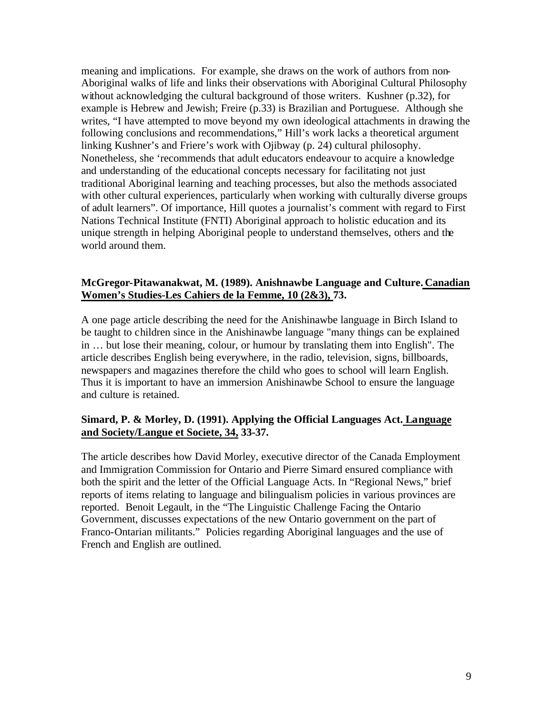meaning and implications. For example, she draws on the work of authors from non-Aboriginal walks of life and links their observations with Aboriginal Cultural Philosophy without acknowledging the cultural background of those writers. Kushner (p.32), for example is Hebrew and Jewish; Freire (p.33) is Brazilian and Portuguese. Although she writes, "I have attempted to move beyond my own ideological attachments in drawing the following conclusions and recommendations," Hill's work lacks a theoretical argument linking Kushner's and Friere's work with Ojibway (p. 24) cultural philosophy. Nonetheless, she 'recommends that adult educators endeavour to acquire a knowledge and understanding of the educational concepts necessary for facilitating not just traditional Aboriginal learning and teaching processes, but also the methods associated with other cultural experiences, particularly when working with culturally diverse groups of adult learners". Of importance, Hill quotes a journalist's comment with regard to First Nations Technical Institute (FNTI) Aboriginal approach to holistic education and its unique strength in helping Aboriginal people to understand themselves, others and the world around them.

#### **McGregor-Pitawanakwat, M. (1989). Anishnawbe Language and Culture. Canadian Women's Studies-Les Cahiers de la Femme, 10 (2&3), 73.**

A one page article describing the need for the Anishinawbe language in Birch Island to be taught to children since in the Anishinawbe language "many things can be explained in … but lose their meaning, colour, or humour by translating them into English". The article describes English being everywhere, in the radio, television, signs, billboards, newspapers and magazines therefore the child who goes to school will learn English. Thus it is important to have an immersion Anishinawbe School to ensure the language and culture is retained.

## **Simard, P. & Morley, D. (1991). Applying the Official Languages Act. Language and Society/Langue et Societe, 34, 33-37.**

The article describes how David Morley, executive director of the Canada Employment and Immigration Commission for Ontario and Pierre Simard ensured compliance with both the spirit and the letter of the Official Language Acts. In "Regional News," brief reports of items relating to language and bilingualism policies in various provinces are reported. Benoit Legault, in the "The Linguistic Challenge Facing the Ontario Government, discusses expectations of the new Ontario government on the part of Franco-Ontarian militants." Policies regarding Aboriginal languages and the use of French and English are outlined.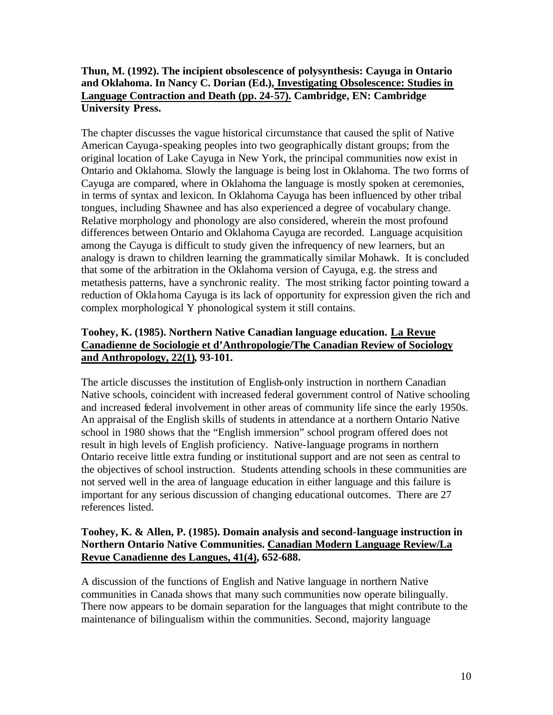## **Thun, M. (1992). The incipient obsolescence of polysynthesis: Cayuga in Ontario and Oklahoma. In Nancy C. Dorian (Ed.), Investigating Obsolescence: Studies in Language Contraction and Death (pp. 24-57). Cambridge, EN: Cambridge University Press.**

The chapter discusses the vague historical circumstance that caused the split of Native American Cayuga-speaking peoples into two geographically distant groups; from the original location of Lake Cayuga in New York, the principal communities now exist in Ontario and Oklahoma. Slowly the language is being lost in Oklahoma. The two forms of Cayuga are compared, where in Oklahoma the language is mostly spoken at ceremonies, in terms of syntax and lexicon. In Oklahoma Cayuga has been influenced by other tribal tongues, including Shawnee and has also experienced a degree of vocabulary change. Relative morphology and phonology are also considered, wherein the most profound differences between Ontario and Oklahoma Cayuga are recorded. Language acquisition among the Cayuga is difficult to study given the infrequency of new learners, but an analogy is drawn to children learning the grammatically similar Mohawk. It is concluded that some of the arbitration in the Oklahoma version of Cayuga, e.g. the stress and metathesis patterns, have a synchronic reality. The most striking factor pointing toward a reduction of Oklahoma Cayuga is its lack of opportunity for expression given the rich and complex morphological Y phonological system it still contains.

## **Toohey, K. (1985). Northern Native Canadian language education. La Revue Canadienne de Sociologie et d'Anthropologie/The Canadian Review of Sociology and Anthropology, 22(1), 93-101.**

The article discusses the institution of English-only instruction in northern Canadian Native schools, coincident with increased federal government control of Native schooling and increased federal involvement in other areas of community life since the early 1950s. An appraisal of the English skills of students in attendance at a northern Ontario Native school in 1980 shows that the "English immersion" school program offered does not result in high levels of English proficiency. Native-language programs in northern Ontario receive little extra funding or institutional support and are not seen as central to the objectives of school instruction. Students attending schools in these communities are not served well in the area of language education in either language and this failure is important for any serious discussion of changing educational outcomes. There are 27 references listed.

## **Toohey, K. & Allen, P. (1985). Domain analysis and second-language instruction in Northern Ontario Native Communities. Canadian Modern Language Review/La Revue Canadienne des Langues, 41(4), 652-688.**

A discussion of the functions of English and Native language in northern Native communities in Canada shows that many such communities now operate bilingually. There now appears to be domain separation for the languages that might contribute to the maintenance of bilingualism within the communities. Second, majority language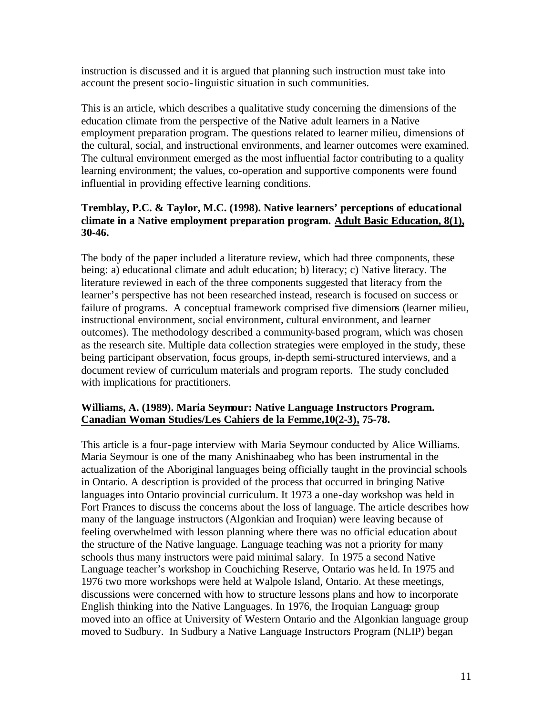instruction is discussed and it is argued that planning such instruction must take into account the present socio-linguistic situation in such communities.

This is an article, which describes a qualitative study concerning the dimensions of the education climate from the perspective of the Native adult learners in a Native employment preparation program. The questions related to learner milieu, dimensions of the cultural, social, and instructional environments, and learner outcomes were examined. The cultural environment emerged as the most influential factor contributing to a quality learning environment; the values, co-operation and supportive components were found influential in providing effective learning conditions.

## **Tremblay, P.C. & Taylor, M.C. (1998). Native learners' perceptions of educational climate in a Native employment preparation program. Adult Basic Education, 8(1), 30-46.**

The body of the paper included a literature review, which had three components, these being: a) educational climate and adult education; b) literacy; c) Native literacy. The literature reviewed in each of the three components suggested that literacy from the learner's perspective has not been researched instead, research is focused on success or failure of programs. A conceptual framework comprised five dimensions (learner milieu, instructional environment, social environment, cultural environment, and learner outcomes). The methodology described a community-based program, which was chosen as the research site. Multiple data collection strategies were employed in the study, these being participant observation, focus groups, in-depth semi-structured interviews, and a document review of curriculum materials and program reports. The study concluded with implications for practitioners.

#### **Williams, A. (1989). Maria Seymour: Native Language Instructors Program. Canadian Woman Studies/Les Cahiers de la Femme,10(2-3), 75-78.**

This article is a four-page interview with Maria Seymour conducted by Alice Williams. Maria Seymour is one of the many Anishinaabeg who has been instrumental in the actualization of the Aboriginal languages being officially taught in the provincial schools in Ontario. A description is provided of the process that occurred in bringing Native languages into Ontario provincial curriculum. It 1973 a one-day workshop was held in Fort Frances to discuss the concerns about the loss of language. The article describes how many of the language instructors (Algonkian and Iroquian) were leaving because of feeling overwhelmed with lesson planning where there was no official education about the structure of the Native language. Language teaching was not a priority for many schools thus many instructors were paid minimal salary. In 1975 a second Native Language teacher's workshop in Couchiching Reserve, Ontario was he ld. In 1975 and 1976 two more workshops were held at Walpole Island, Ontario. At these meetings, discussions were concerned with how to structure lessons plans and how to incorporate English thinking into the Native Languages. In 1976, the Iroquian Language group moved into an office at University of Western Ontario and the Algonkian language group moved to Sudbury. In Sudbury a Native Language Instructors Program (NLIP) began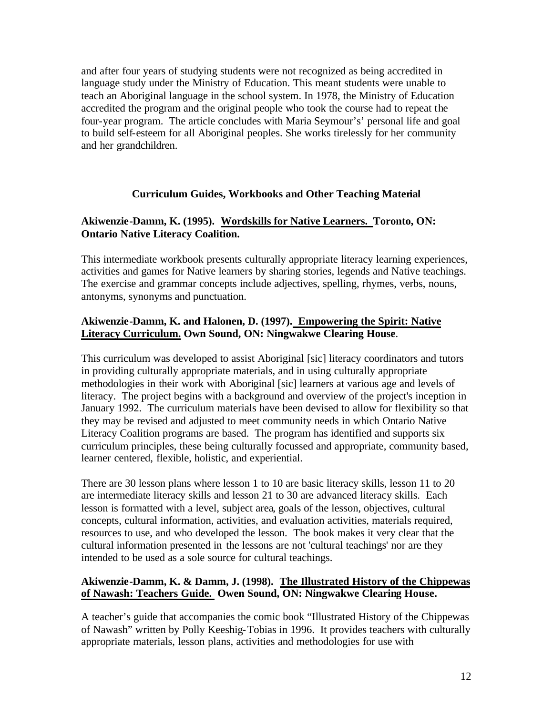<span id="page-11-0"></span>and after four years of studying students were not recognized as being accredited in language study under the Ministry of Education. This meant students were unable to teach an Aboriginal language in the school system. In 1978, the Ministry of Education accredited the program and the original people who took the course had to repeat the four-year program. The article concludes with Maria Seymour's' personal life and goal to build self-esteem for all Aboriginal peoples. She works tirelessly for her community and her grandchildren.

## **Curriculum Guides, Workbooks and Other Teaching Material**

## **Akiwenzie-Damm, K. (1995). Wordskills for Native Learners. Toronto, ON: Ontario Native Literacy Coalition.**

This intermediate workbook presents culturally appropriate literacy learning experiences, activities and games for Native learners by sharing stories, legends and Native teachings. The exercise and grammar concepts include adjectives, spelling, rhymes, verbs, nouns, antonyms, synonyms and punctuation.

## **Akiwenzie-Damm, K. and Halonen, D. (1997). Empowering the Spirit: Native Literacy Curriculum. Own Sound, ON: Ningwakwe Clearing House**.

This curriculum was developed to assist Aboriginal [sic] literacy coordinators and tutors in providing culturally appropriate materials, and in using culturally appropriate methodologies in their work with Aboriginal [sic] learners at various age and levels of literacy. The project begins with a background and overview of the project's inception in January 1992. The curriculum materials have been devised to allow for flexibility so that they may be revised and adjusted to meet community needs in which Ontario Native Literacy Coalition programs are based. The program has identified and supports six curriculum principles, these being culturally focussed and appropriate, community based, learner centered, flexible, holistic, and experiential.

There are 30 lesson plans where lesson 1 to 10 are basic literacy skills, lesson 11 to 20 are intermediate literacy skills and lesson 21 to 30 are advanced literacy skills. Each lesson is formatted with a level, subject area, goals of the lesson, objectives, cultural concepts, cultural information, activities, and evaluation activities, materials required, resources to use, and who developed the lesson. The book makes it very clear that the cultural information presented in the lessons are not 'cultural teachings' nor are they intended to be used as a sole source for cultural teachings.

#### **Akiwenzie-Damm, K. & Damm, J. (1998). The Illustrated History of the Chippewas of Nawash: Teachers Guide. Owen Sound, ON: Ningwakwe Clearing House.**

A teacher's guide that accompanies the comic book "Illustrated History of the Chippewas of Nawash" written by Polly Keeshig-Tobias in 1996. It provides teachers with culturally appropriate materials, lesson plans, activities and methodologies for use with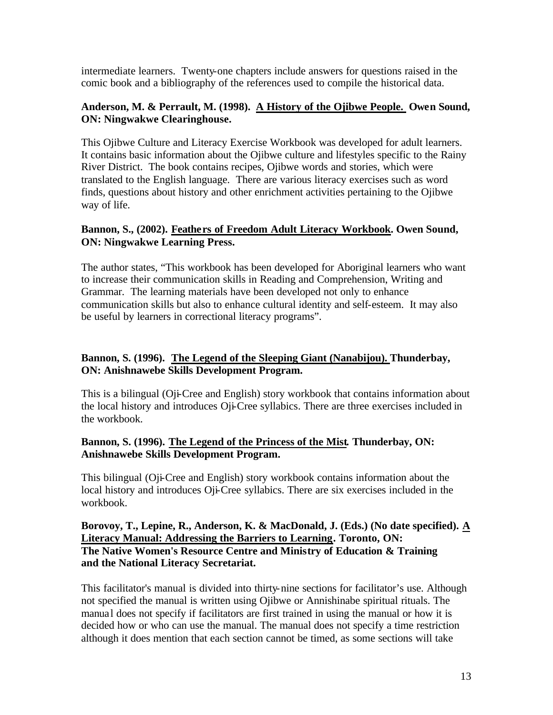intermediate learners. Twenty-one chapters include answers for questions raised in the comic book and a bibliography of the references used to compile the historical data.

#### **Anderson, M. & Perrault, M. (1998). A History of the Ojibwe People. Owen Sound, ON: Ningwakwe Clearinghouse.**

This Ojibwe Culture and Literacy Exercise Workbook was developed for adult learners. It contains basic information about the Ojibwe culture and lifestyles specific to the Rainy River District. The book contains recipes, Ojibwe words and stories, which were translated to the English language. There are various literacy exercises such as word finds, questions about history and other enrichment activities pertaining to the Ojibwe way of life.

#### **Bannon, S., (2002). Feathers of Freedom Adult Literacy Workbook. Owen Sound, ON: Ningwakwe Learning Press.**

The author states, "This workbook has been developed for Aboriginal learners who want to increase their communication skills in Reading and Comprehension, Writing and Grammar. The learning materials have been developed not only to enhance communication skills but also to enhance cultural identity and self-esteem. It may also be useful by learners in correctional literacy programs".

## **Bannon, S. (1996). The Legend of the Sleeping Giant (Nanabijou). Thunderbay, ON: Anishnawebe Skills Development Program.**

This is a bilingual (Oji-Cree and English) story workbook that contains information about the local history and introduces Oji-Cree syllabics. There are three exercises included in the workbook.

#### **Bannon, S. (1996). The Legend of the Princess of the Mist***.* **Thunderbay, ON: Anishnawebe Skills Development Program.**

This bilingual (Oji-Cree and English) story workbook contains information about the local history and introduces Oji-Cree syllabics. There are six exercises included in the workbook.

#### **Borovoy, T., Lepine, R., Anderson, K. & MacDonald, J. (Eds.) (No date specified). A Literacy Manual: Addressing the Barriers to Learning. Toronto, ON: The Native Women's Resource Centre and Ministry of Education & Training and the National Literacy Secretariat.**

This facilitator's manual is divided into thirty-nine sections for facilitator's use. Although not specified the manual is written using Ojibwe or Annishinabe spiritual rituals. The manual does not specify if facilitators are first trained in using the manual or how it is decided how or who can use the manual. The manual does not specify a time restriction although it does mention that each section cannot be timed, as some sections will take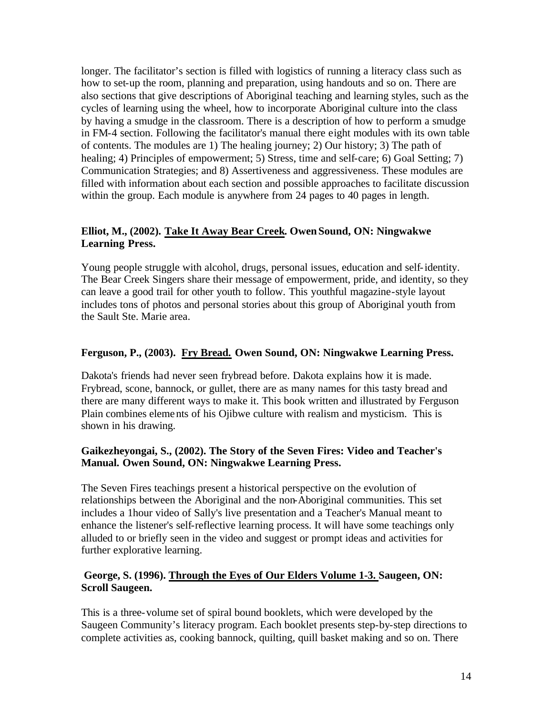longer. The facilitator's section is filled with logistics of running a literacy class such as how to set-up the room, planning and preparation, using handouts and so on. There are also sections that give descriptions of Aboriginal teaching and learning styles, such as the cycles of learning using the wheel, how to incorporate Aboriginal culture into the class by having a smudge in the classroom. There is a description of how to perform a smudge in FM-4 section. Following the facilitator's manual there eight modules with its own table of contents. The modules are 1) The healing journey; 2) Our history; 3) The path of healing; 4) Principles of empowerment; 5) Stress, time and self-care; 6) Goal Setting; 7) Communication Strategies; and 8) Assertiveness and aggressiveness. These modules are filled with information about each section and possible approaches to facilitate discussion within the group. Each module is anywhere from 24 pages to 40 pages in length.

#### **Elliot, M., (2002). Take It Away Bear Creek. Owen Sound, ON: Ningwakwe Learning Press.**

Young people struggle with alcohol, drugs, personal issues, education and self-identity. The Bear Creek Singers share their message of empowerment, pride, and identity, so they can leave a good trail for other youth to follow. This youthful magazine-style layout includes tons of photos and personal stories about this group of Aboriginal youth from the Sault Ste. Marie area.

## **Ferguson, P., (2003). Fry Bread. Owen Sound, ON: Ningwakwe Learning Press.**

Dakota's friends had never seen frybread before. Dakota explains how it is made. Frybread, scone, bannock, or gullet, there are as many names for this tasty bread and there are many different ways to make it. This book written and illustrated by Ferguson Plain combines elements of his Ojibwe culture with realism and mysticism. This is shown in his drawing.

## **Gaikezheyongai, S., (2002). The Story of the Seven Fires: Video and Teacher's Manual. Owen Sound, ON: Ningwakwe Learning Press.**

The Seven Fires teachings present a historical perspective on the evolution of relationships between the Aboriginal and the non-Aboriginal communities. This set includes a 1hour video of Sally's live presentation and a Teacher's Manual meant to enhance the listener's self-reflective learning process. It will have some teachings only alluded to or briefly seen in the video and suggest or prompt ideas and activities for further explorative learning.

#### **George, S. (1996). Through the Eyes of Our Elders Volume 1-3. Saugeen, ON: Scroll Saugeen.**

This is a three-volume set of spiral bound booklets, which were developed by the Saugeen Community's literacy program. Each booklet presents step-by-step directions to complete activities as, cooking bannock, quilting, quill basket making and so on. There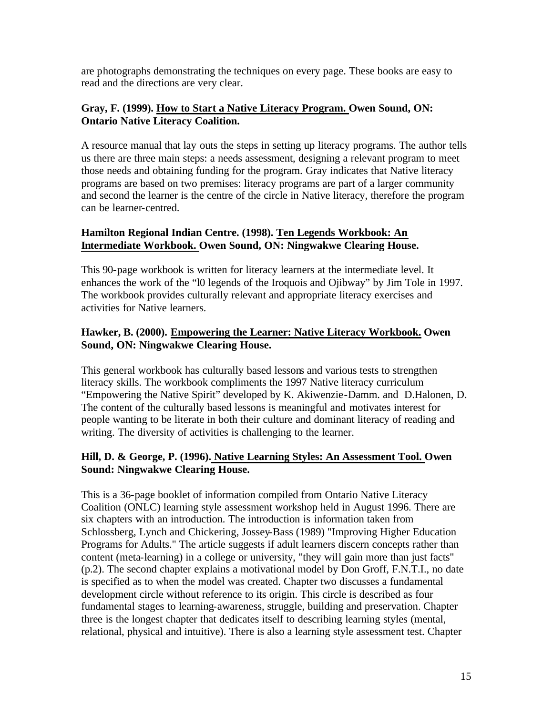are photographs demonstrating the techniques on every page. These books are easy to read and the directions are very clear.

#### **Gray, F. (1999). How to Start a Native Literacy Program. Owen Sound, ON: Ontario Native Literacy Coalition.**

A resource manual that lay outs the steps in setting up literacy programs. The author tells us there are three main steps: a needs assessment, designing a relevant program to meet those needs and obtaining funding for the program. Gray indicates that Native literacy programs are based on two premises: literacy programs are part of a larger community and second the learner is the centre of the circle in Native literacy, therefore the program can be learner-centred.

## **Hamilton Regional Indian Centre. (1998). Ten Legends Workbook: An Intermediate Workbook. Owen Sound, ON: Ningwakwe Clearing House.**

This 90-page workbook is written for literacy learners at the intermediate level. It enhances the work of the "l0 legends of the Iroquois and Ojibway" by Jim Tole in 1997. The workbook provides culturally relevant and appropriate literacy exercises and activities for Native learners.

## **Hawker, B. (2000). Empowering the Learner: Native Literacy Workbook. Owen Sound, ON: Ningwakwe Clearing House.**

This general workbook has culturally based lessons and various tests to strengthen literacy skills. The workbook compliments the 1997 Native literacy curriculum "Empowering the Native Spirit" developed by K. Akiwenzie-Damm. and D.Halonen, D. The content of the culturally based lessons is meaningful and motivates interest for people wanting to be literate in both their culture and dominant literacy of reading and writing. The diversity of activities is challenging to the learner.

## **Hill, D. & George, P. (1996). Native Learning Styles: An Assessment Tool. Owen Sound: Ningwakwe Clearing House.**

This is a 36-page booklet of information compiled from Ontario Native Literacy Coalition (ONLC) learning style assessment workshop held in August 1996. There are six chapters with an introduction. The introduction is information taken from Schlossberg, Lynch and Chickering, Jossey-Bass (1989) "Improving Higher Education Programs for Adults." The article suggests if adult learners discern concepts rather than content (meta-learning) in a college or university, "they will gain more than just facts" (p.2). The second chapter explains a motivational model by Don Groff, F.N.T.I., no date is specified as to when the model was created. Chapter two discusses a fundamental development circle without reference to its origin. This circle is described as four fundamental stages to learning-awareness, struggle, building and preservation. Chapter three is the longest chapter that dedicates itself to describing learning styles (mental, relational, physical and intuitive). There is also a learning style assessment test. Chapter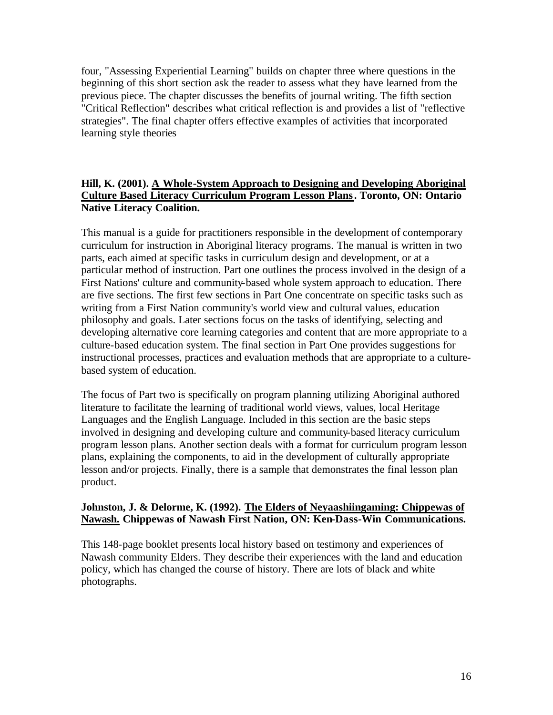four, "Assessing Experiential Learning" builds on chapter three where questions in the beginning of this short section ask the reader to assess what they have learned from the previous piece. The chapter discusses the benefits of journal writing. The fifth section "Critical Reflection" describes what critical reflection is and provides a list of "reflective strategies". The final chapter offers effective examples of activities that incorporated learning style theories

## **Hill, K. (2001). A Whole-System Approach to Designing and Developing Aboriginal Culture Based Literacy Curriculum Program Lesson Plans. Toronto, ON: Ontario Native Literacy Coalition.**

This manual is a guide for practitioners responsible in the development of contemporary curriculum for instruction in Aboriginal literacy programs. The manual is written in two parts, each aimed at specific tasks in curriculum design and development, or at a particular method of instruction. Part one outlines the process involved in the design of a First Nations' culture and community-based whole system approach to education. There are five sections. The first few sections in Part One concentrate on specific tasks such as writing from a First Nation community's world view and cultural values, education philosophy and goals. Later sections focus on the tasks of identifying, selecting and developing alternative core learning categories and content that are more appropriate to a culture-based education system. The final section in Part One provides suggestions for instructional processes, practices and evaluation methods that are appropriate to a culturebased system of education.

The focus of Part two is specifically on program planning utilizing Aboriginal authored literature to facilitate the learning of traditional world views, values, local Heritage Languages and the English Language. Included in this section are the basic steps involved in designing and developing culture and community-based literacy curriculum program lesson plans. Another section deals with a format for curriculum program lesson plans, explaining the components, to aid in the development of culturally appropriate lesson and/or projects. Finally, there is a sample that demonstrates the final lesson plan product.

## **Johnston, J. & Delorme, K. (1992). The Elders of Neyaashiingaming: Chippewas of Nawash. Chippewas of Nawash First Nation, ON: Ken-Dass-Win Communications.**

This 148-page booklet presents local history based on testimony and experiences of Nawash community Elders. They describe their experiences with the land and education policy, which has changed the course of history. There are lots of black and white photographs.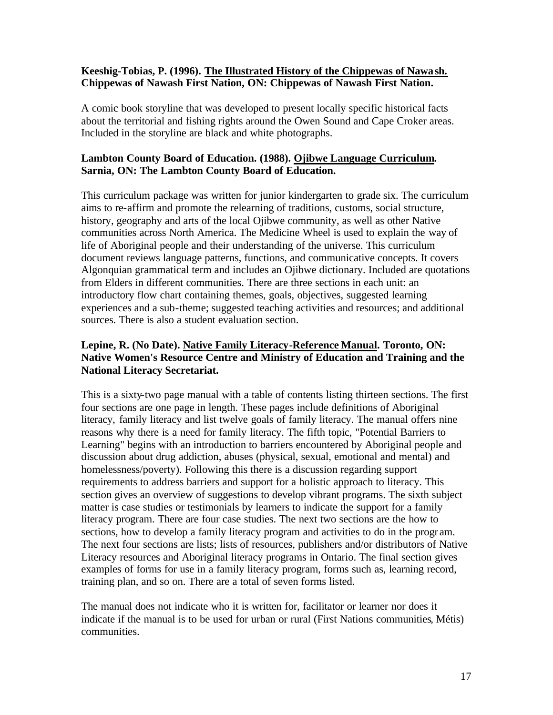#### **Keeshig-Tobias, P. (1996). The Illustrated History of the Chippewas of Nawash. Chippewas of Nawash First Nation, ON: Chippewas of Nawash First Nation.**

A comic book storyline that was developed to present locally specific historical facts about the territorial and fishing rights around the Owen Sound and Cape Croker areas. Included in the storyline are black and white photographs.

## **Lambton County Board of Education. (1988). Ojibwe Language Curriculum. Sarnia, ON: The Lambton County Board of Education.**

This curriculum package was written for junior kindergarten to grade six. The curriculum aims to re-affirm and promote the relearning of traditions, customs, social structure, history, geography and arts of the local Ojibwe community, as well as other Native communities across North America. The Medicine Wheel is used to explain the way of life of Aboriginal people and their understanding of the universe. This curriculum document reviews language patterns, functions, and communicative concepts. It covers Algonquian grammatical term and includes an Ojibwe dictionary. Included are quotations from Elders in different communities. There are three sections in each unit: an introductory flow chart containing themes, goals, objectives, suggested learning experiences and a sub-theme; suggested teaching activities and resources; and additional sources. There is also a student evaluation section.

## **Lepine, R. (No Date). Native Family Literacy-Reference Manual. Toronto, ON: Native Women's Resource Centre and Ministry of Education and Training and the National Literacy Secretariat.**

This is a sixty-two page manual with a table of contents listing thirteen sections. The first four sections are one page in length. These pages include definitions of Aboriginal literacy, family literacy and list twelve goals of family literacy. The manual offers nine reasons why there is a need for family literacy. The fifth topic, "Potential Barriers to Learning" begins with an introduction to barriers encountered by Aboriginal people and discussion about drug addiction, abuses (physical, sexual, emotional and mental) and homelessness/poverty). Following this there is a discussion regarding support requirements to address barriers and support for a holistic approach to literacy. This section gives an overview of suggestions to develop vibrant programs. The sixth subject matter is case studies or testimonials by learners to indicate the support for a family literacy program. There are four case studies. The next two sections are the how to sections, how to develop a family literacy program and activities to do in the progr am. The next four sections are lists; lists of resources, publishers and/or distributors of Native Literacy resources and Aboriginal literacy programs in Ontario. The final section gives examples of forms for use in a family literacy program, forms such as, learning record, training plan, and so on. There are a total of seven forms listed.

The manual does not indicate who it is written for, facilitator or learner nor does it indicate if the manual is to be used for urban or rural (First Nations communities, Métis) communities.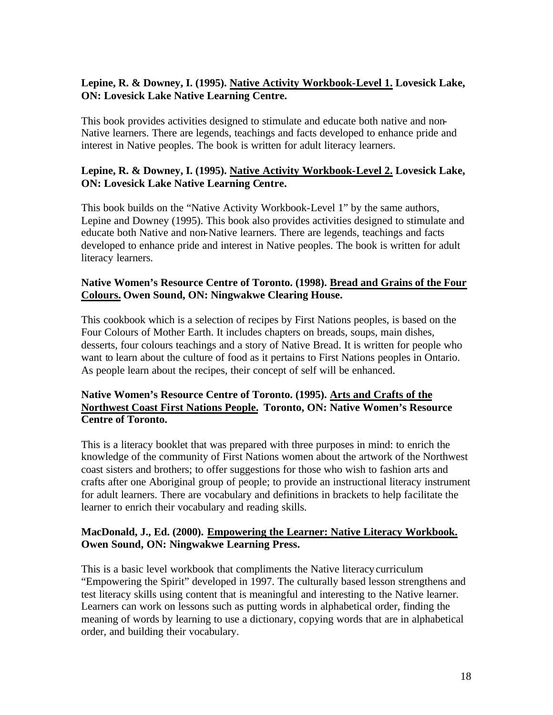## **Lepine, R. & Downey, I. (1995). Native Activity Workbook-Level 1. Lovesick Lake, ON: Lovesick Lake Native Learning Centre.**

This book provides activities designed to stimulate and educate both native and non-Native learners. There are legends, teachings and facts developed to enhance pride and interest in Native peoples. The book is written for adult literacy learners.

## **Lepine, R. & Downey, I. (1995). Native Activity Workbook-Level 2. Lovesick Lake, ON: Lovesick Lake Native Learning Centre.**

This book builds on the "Native Activity Workbook-Level 1" by the same authors, Lepine and Downey (1995). This book also provides activities designed to stimulate and educate both Native and non-Native learners. There are legends, teachings and facts developed to enhance pride and interest in Native peoples. The book is written for adult literacy learners.

#### **Native Women's Resource Centre of Toronto. (1998). Bread and Grains of the Four Colours. Owen Sound, ON: Ningwakwe Clearing House.**

This cookbook which is a selection of recipes by First Nations peoples, is based on the Four Colours of Mother Earth. It includes chapters on breads, soups, main dishes, desserts, four colours teachings and a story of Native Bread. It is written for people who want to learn about the culture of food as it pertains to First Nations peoples in Ontario. As people learn about the recipes, their concept of self will be enhanced.

## **Native Women's Resource Centre of Toronto. (1995). Arts and Crafts of the Northwest Coast First Nations People. Toronto, ON: Native Women's Resource Centre of Toronto.**

This is a literacy booklet that was prepared with three purposes in mind: to enrich the knowledge of the community of First Nations women about the artwork of the Northwest coast sisters and brothers; to offer suggestions for those who wish to fashion arts and crafts after one Aboriginal group of people; to provide an instructional literacy instrument for adult learners. There are vocabulary and definitions in brackets to help facilitate the learner to enrich their vocabulary and reading skills.

## **MacDonald, J., Ed. (2000). Empowering the Learner: Native Literacy Workbook. Owen Sound, ON: Ningwakwe Learning Press.**

This is a basic level workbook that compliments the Native literacy curriculum "Empowering the Spirit" developed in 1997. The culturally based lesson strengthens and test literacy skills using content that is meaningful and interesting to the Native learner. Learners can work on lessons such as putting words in alphabetical order, finding the meaning of words by learning to use a dictionary, copying words that are in alphabetical order, and building their vocabulary.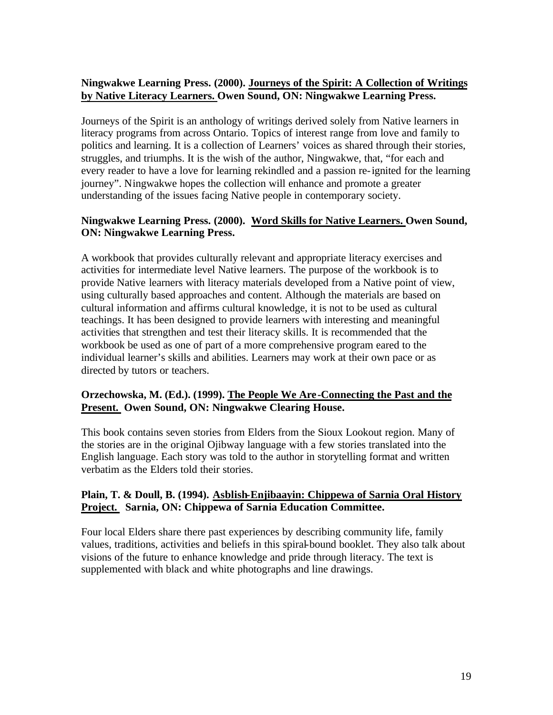## **Ningwakwe Learning Press. (2000). Journeys of the Spirit: A Collection of Writings by Native Literacy Learners. Owen Sound, ON: Ningwakwe Learning Press.**

Journeys of the Spirit is an anthology of writings derived solely from Native learners in literacy programs from across Ontario. Topics of interest range from love and family to politics and learning. It is a collection of Learners' voices as shared through their stories, struggles, and triumphs. It is the wish of the author, Ningwakwe, that, "for each and every reader to have a love for learning rekindled and a passion re-ignited for the learning journey". Ningwakwe hopes the collection will enhance and promote a greater understanding of the issues facing Native people in contemporary society.

## **Ningwakwe Learning Press. (2000). Word Skills for Native Learners. Owen Sound, ON: Ningwakwe Learning Press.**

A workbook that provides culturally relevant and appropriate literacy exercises and activities for intermediate level Native learners. The purpose of the workbook is to provide Native learners with literacy materials developed from a Native point of view, using culturally based approaches and content. Although the materials are based on cultural information and affirms cultural knowledge, it is not to be used as cultural teachings. It has been designed to provide learners with interesting and meaningful activities that strengthen and test their literacy skills. It is recommended that the workbook be used as one of part of a more comprehensive program eared to the individual learner's skills and abilities. Learners may work at their own pace or as directed by tutors or teachers.

## **Orzechowska, M. (Ed.). (1999). The People We Are -Connecting the Past and the Present. Owen Sound, ON: Ningwakwe Clearing House.**

This book contains seven stories from Elders from the Sioux Lookout region. Many of the stories are in the original Ojibway language with a few stories translated into the English language. Each story was told to the author in storytelling format and written verbatim as the Elders told their stories.

#### **Plain, T. & Doull, B. (1994). Asblish-Enjibaayin: Chippewa of Sarnia Oral History Project. Sarnia, ON: Chippewa of Sarnia Education Committee.**

Four local Elders share there past experiences by describing community life, family values, traditions, activities and beliefs in this spiral-bound booklet. They also talk about visions of the future to enhance knowledge and pride through literacy. The text is supplemented with black and white photographs and line drawings.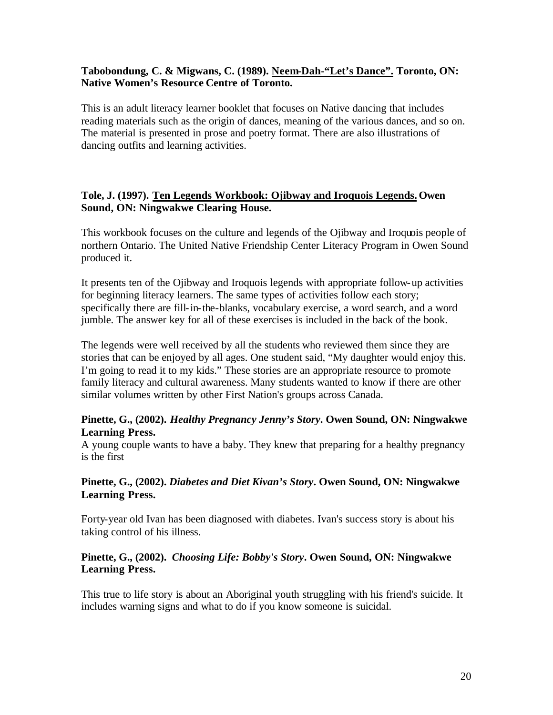#### **Tabobondung, C. & Migwans, C. (1989). Neem-Dah-"Let's Dance". Toronto, ON: Native Women's Resource Centre of Toronto.**

This is an adult literacy learner booklet that focuses on Native dancing that includes reading materials such as the origin of dances, meaning of the various dances, and so on. The material is presented in prose and poetry format. There are also illustrations of dancing outfits and learning activities.

#### **Tole, J. (1997). Ten Legends Workbook: Ojibway and Iroquois Legends. Owen Sound, ON: Ningwakwe Clearing House.**

This workbook focuses on the culture and legends of the Ojibway and Iroquois people of northern Ontario. The United Native Friendship Center Literacy Program in Owen Sound produced it.

It presents ten of the Ojibway and Iroquois legends with appropriate follow-up activities for beginning literacy learners. The same types of activities follow each story; specifically there are fill-in-the-blanks, vocabulary exercise, a word search, and a word jumble. The answer key for all of these exercises is included in the back of the book.

The legends were well received by all the students who reviewed them since they are stories that can be enjoyed by all ages. One student said, "My daughter would enjoy this. I'm going to read it to my kids." These stories are an appropriate resource to promote family literacy and cultural awareness. Many students wanted to know if there are other similar volumes written by other First Nation's groups across Canada.

#### **Pinette, G., (2002).** *Healthy Pregnancy Jenny's Story***. Owen Sound, ON: Ningwakwe Learning Press.**

A young couple wants to have a baby. They knew that preparing for a healthy pregnancy is the first

#### **Pinette, G., (2002).** *Diabetes and Diet Kivan's Story***. Owen Sound, ON: Ningwakwe Learning Press.**

Forty-year old Ivan has been diagnosed with diabetes. Ivan's success story is about his taking control of his illness.

#### **Pinette, G., (2002).** *Choosing Life: Bobby's Story***. Owen Sound, ON: Ningwakwe Learning Press.**

This true to life story is about an Aboriginal youth struggling with his friend's suicide. It includes warning signs and what to do if you know someone is suicidal.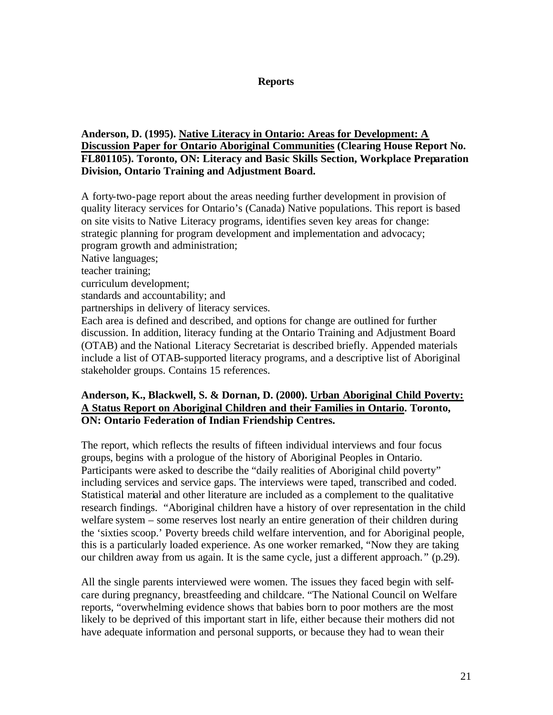#### **Reports**

#### <span id="page-20-0"></span>**Anderson, D. (1995). Native Literacy in Ontario: Areas for Development: A Discussion Paper for Ontario Aboriginal Communities (Clearing House Report No. FL801105). Toronto, ON: Literacy and Basic Skills Section, Workplace Preparation Division, Ontario Training and Adjustment Board.**

A forty-two-page report about the areas needing further development in provision of quality literacy services for Ontario's (Canada) Native populations. This report is based on site visits to Native Literacy programs, identifies seven key areas for change: strategic planning for program development and implementation and advocacy; program growth and administration; Native languages; teacher training; curriculum development; standards and accountability; and partnerships in delivery of literacy services. Each area is defined and described, and options for change are outlined for further discussion. In addition, literacy funding at the Ontario Training and Adjustment Board (OTAB) and the National Literacy Secretariat is described briefly. Appended materials include a list of OTAB-supported literacy programs, and a descriptive list of Aboriginal stakeholder groups. Contains 15 references.

## **Anderson, K., Blackwell, S. & Dornan, D. (2000). Urban Aboriginal Child Poverty: A Status Report on Aboriginal Children and their Families in Ontario. Toronto, ON: Ontario Federation of Indian Friendship Centres.**

The report, which reflects the results of fifteen individual interviews and four focus groups, begins with a prologue of the history of Aboriginal Peoples in Ontario. Participants were asked to describe the "daily realities of Aboriginal child poverty" including services and service gaps. The interviews were taped, transcribed and coded. Statistical material and other literature are included as a complement to the qualitative research findings. "Aboriginal children have a history of over representation in the child welfare system – some reserves lost nearly an entire generation of their children during the 'sixties scoop.' Poverty breeds child welfare intervention, and for Aboriginal people, this is a particularly loaded experience. As one worker remarked, "Now they are taking our children away from us again. It is the same cycle, just a different approach. " (p.29).

All the single parents interviewed were women. The issues they faced begin with selfcare during pregnancy, breastfeeding and childcare. "The National Council on Welfare reports, "overwhelming evidence shows that babies born to poor mothers are the most likely to be deprived of this important start in life, either because their mothers did not have adequate information and personal supports, or because they had to wean their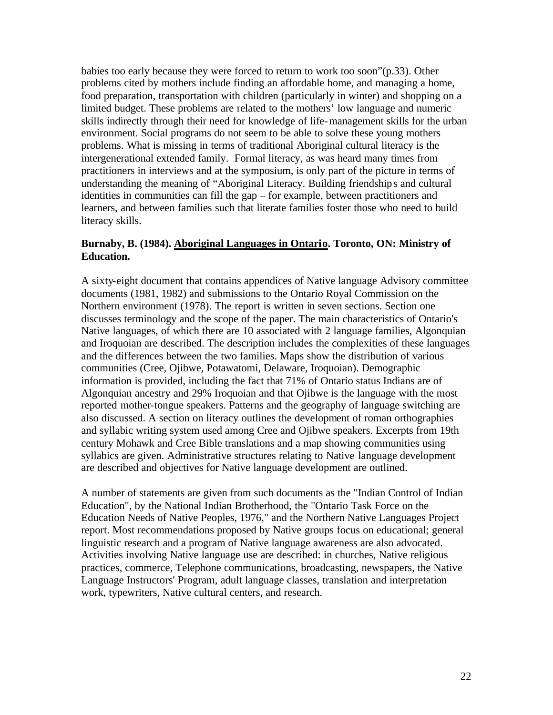babies too early because they were forced to return to work too soon"(p.33). Other problems cited by mothers include finding an affordable home, and managing a home, food preparation, transportation with children (particularly in winter) and shopping on a limited budget. These problems are related to the mothers' low language and numeric skills indirectly through their need for knowledge of life-management skills for the urban environment. Social programs do not seem to be able to solve these young mothers problems. What is missing in terms of traditional Aboriginal cultural literacy is the intergenerational extended family. Formal literacy, as was heard many times from practitioners in interviews and at the symposium, is only part of the picture in terms of understanding the meaning of "Aboriginal Literacy. Building friendships and cultural identities in communities can fill the gap – for example, between practitioners and learners, and between families such that literate families foster those who need to build literacy skills.

#### **Burnaby, B. (1984). Aboriginal Languages in Ontario. Toronto, ON: Ministry of Education.**

A sixty-eight document that contains appendices of Native language Advisory committee documents (1981, 1982) and submissions to the Ontario Royal Commission on the Northern environment (1978). The report is written in seven sections. Section one discusses terminology and the scope of the paper. The main characteristics of Ontario's Native languages, of which there are 10 associated with 2 language families, Algonquian and Iroquoian are described. The description includes the complexities of these languages and the differences between the two families. Maps show the distribution of various communities (Cree, Ojibwe, Potawatomi, Delaware, Iroquoian). Demographic information is provided, including the fact that 71% of Ontario status Indians are of Algonquian ancestry and 29% Iroquoian and that Ojibwe is the language with the most reported mother-tongue speakers. Patterns and the geography of language switching are also discussed. A section on literacy outlines the development of roman orthographies and syllabic writing system used among Cree and Ojibwe speakers. Excerpts from 19th century Mohawk and Cree Bible translations and a map showing communities using syllabics are given. Administrative structures relating to Native language development are described and objectives for Native language development are outlined.

A number of statements are given from such documents as the "Indian Control of Indian Education", by the National Indian Brotherhood, the "Ontario Task Force on the Education Needs of Native Peoples, 1976," and the Northern Native Languages Project report. Most recommendations proposed by Native groups focus on educational; general linguistic research and a program of Native language awareness are also advocated. Activities involving Native language use are described: in churches, Native religious practices, commerce, Telephone communications, broadcasting, newspapers, the Native Language Instructors' Program, adult language classes, translation and interpretation work, typewriters, Native cultural centers, and research.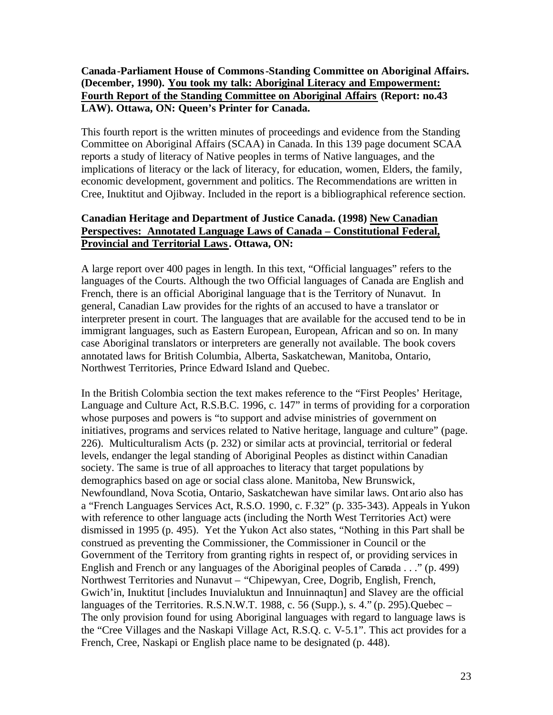## **Canada-Parliament House of Commons-Standing Committee on Aboriginal Affairs. (December, 1990). You took my talk: Aboriginal Literacy and Empowerment: Fourth Report of the Standing Committee on Aboriginal Affairs (Report: no.43 LAW). Ottawa, ON: Queen's Printer for Canada.**

This fourth report is the written minutes of proceedings and evidence from the Standing Committee on Aboriginal Affairs (SCAA) in Canada. In this 139 page document SCAA reports a study of literacy of Native peoples in terms of Native languages, and the implications of literacy or the lack of literacy, for education, women, Elders, the family, economic development, government and politics. The Recommendations are written in Cree, Inuktitut and Ojibway. Included in the report is a bibliographical reference section.

## **Canadian Heritage and Department of Justice Canada. (1998) New Canadian Perspectives: Annotated Language Laws of Canada – Constitutional Federal, Provincial and Territorial Laws. Ottawa, ON:**

A large report over 400 pages in length. In this text, "Official languages" refers to the languages of the Courts. Although the two Official languages of Canada are English and French, there is an official Aboriginal language tha t is the Territory of Nunavut. In general, Canadian Law provides for the rights of an accused to have a translator or interpreter present in court. The languages that are available for the accused tend to be in immigrant languages, such as Eastern European, European, African and so on. In many case Aboriginal translators or interpreters are generally not available. The book covers annotated laws for British Columbia, Alberta, Saskatchewan, Manitoba, Ontario, Northwest Territories, Prince Edward Island and Quebec.

In the British Colombia section the text makes reference to the "First Peoples' Heritage, Language and Culture Act, R.S.B.C. 1996, c. 147" in terms of providing for a corporation whose purposes and powers is "to support and advise ministries of government on initiatives, programs and services related to Native heritage, language and culture" (page. 226). Multiculturalism Acts (p. 232) or similar acts at provincial, territorial or federal levels, endanger the legal standing of Aboriginal Peoples as distinct within Canadian society. The same is true of all approaches to literacy that target populations by demographics based on age or social class alone. Manitoba, New Brunswick, Newfoundland, Nova Scotia, Ontario, Saskatchewan have similar laws. Ont ario also has a "French Languages Services Act, R.S.O. 1990, c. F.32" (p. 335-343). Appeals in Yukon with reference to other language acts (including the North West Territories Act) were dismissed in 1995 (p. 495). Yet the Yukon Act also states, "Nothing in this Part shall be construed as preventing the Commissioner, the Commissioner in Council or the Government of the Territory from granting rights in respect of, or providing services in English and French or any languages of the Aboriginal peoples of Canada . . ." (p. 499) Northwest Territories and Nunavut – "Chipewyan, Cree, Dogrib, English, French, Gwich'in, Inuktitut [includes Inuvialuktun and Innuinnaqtun] and Slavey are the official languages of the Territories. R.S.N.W.T. 1988, c. 56 (Supp.), s.  $4$ ." (p. 295).Quebec – The only provision found for using Aboriginal languages with regard to language laws is the "Cree Villages and the Naskapi Village Act, R.S.Q. c. V-5.1". This act provides for a French, Cree, Naskapi or English place name to be designated (p. 448).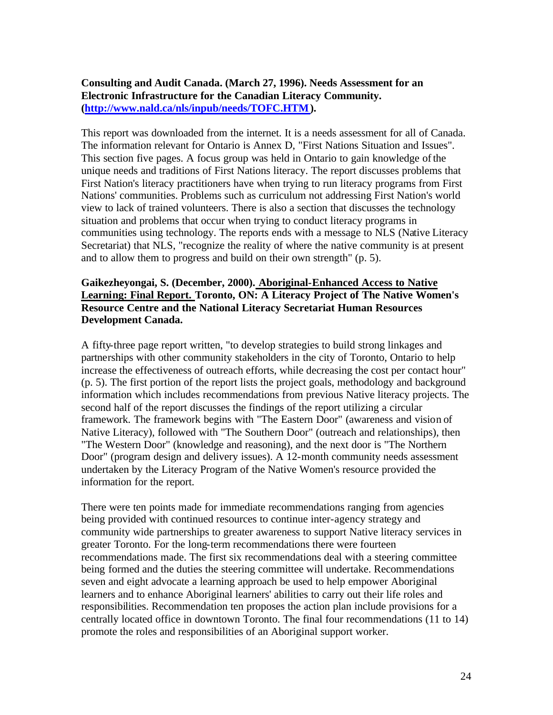**Consulting and Audit Canada. (March 27, 1996). Needs Assessment for an Electronic Infrastructure for the Canadian Literacy Community. [\(http://www.nald.ca/nls/inpub/needs/TOFC.HTM\).](http://www.nald.ca/nls/inpub/needs/TOFC.HTM)**

This report was downloaded from the internet. It is a needs assessment for all of Canada. The information relevant for Ontario is Annex D, "First Nations Situation and Issues". This section five pages. A focus group was held in Ontario to gain knowledge of the unique needs and traditions of First Nations literacy. The report discusses problems that First Nation's literacy practitioners have when trying to run literacy programs from First Nations' communities. Problems such as curriculum not addressing First Nation's world view to lack of trained volunteers. There is also a section that discusses the technology situation and problems that occur when trying to conduct literacy programs in communities using technology. The reports ends with a message to NLS (Native Literacy Secretariat) that NLS, "recognize the reality of where the native community is at present and to allow them to progress and build on their own strength" (p. 5).

#### **Gaikezheyongai, S. (December, 2000). Aboriginal-Enhanced Access to Native Learning: Final Report. Toronto, ON: A Literacy Project of The Native Women's Resource Centre and the National Literacy Secretariat Human Resources Development Canada.**

A fifty-three page report written, "to develop strategies to build strong linkages and partnerships with other community stakeholders in the city of Toronto, Ontario to help increase the effectiveness of outreach efforts, while decreasing the cost per contact hour" (p. 5). The first portion of the report lists the project goals, methodology and background information which includes recommendations from previous Native literacy projects. The second half of the report discusses the findings of the report utilizing a circular framework. The framework begins with "The Eastern Door" (awareness and vision of Native Literacy), followed with "The Southern Door" (outreach and relationships), then "The Western Door" (knowledge and reasoning), and the next door is "The Northern Door" (program design and delivery issues). A 12-month community needs assessment undertaken by the Literacy Program of the Native Women's resource provided the information for the report.

There were ten points made for immediate recommendations ranging from agencies being provided with continued resources to continue inter-agency strategy and community wide partnerships to greater awareness to support Native literacy services in greater Toronto. For the long-term recommendations there were fourteen recommendations made. The first six recommendations deal with a steering committee being formed and the duties the steering committee will undertake. Recommendations seven and eight advocate a learning approach be used to help empower Aboriginal learners and to enhance Aboriginal learners' abilities to carry out their life roles and responsibilities. Recommendation ten proposes the action plan include provisions for a centrally located office in downtown Toronto. The final four recommendations (11 to 14) promote the roles and responsibilities of an Aboriginal support worker.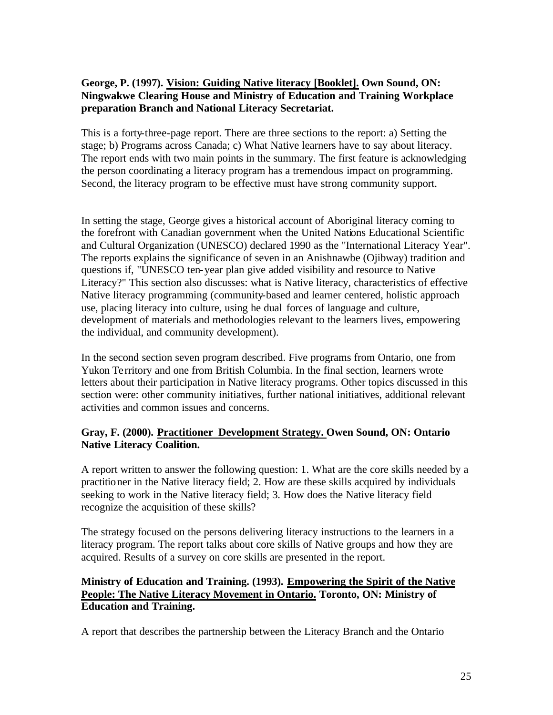## **George, P. (1997). Vision: Guiding Native literacy [Booklet]. Own Sound, ON: Ningwakwe Clearing House and Ministry of Education and Training Workplace preparation Branch and National Literacy Secretariat.**

This is a forty-three-page report. There are three sections to the report: a) Setting the stage; b) Programs across Canada; c) What Native learners have to say about literacy. The report ends with two main points in the summary. The first feature is acknowledging the person coordinating a literacy program has a tremendous impact on programming. Second, the literacy program to be effective must have strong community support.

In setting the stage, George gives a historical account of Aboriginal literacy coming to the forefront with Canadian government when the United Nations Educational Scientific and Cultural Organization (UNESCO) declared 1990 as the "International Literacy Year". The reports explains the significance of seven in an Anishnawbe (Ojibway) tradition and questions if, "UNESCO ten-year plan give added visibility and resource to Native Literacy?" This section also discusses: what is Native literacy, characteristics of effective Native literacy programming (community-based and learner centered, holistic approach use, placing literacy into culture, using he dual forces of language and culture, development of materials and methodologies relevant to the learners lives, empowering the individual, and community development).

In the second section seven program described. Five programs from Ontario, one from Yukon Territory and one from British Columbia. In the final section, learners wrote letters about their participation in Native literacy programs. Other topics discussed in this section were: other community initiatives, further national initiatives, additional relevant activities and common issues and concerns.

## **Gray, F. (2000). Practitioner Development Strategy. Owen Sound, ON: Ontario Native Literacy Coalition.**

A report written to answer the following question: 1. What are the core skills needed by a practitioner in the Native literacy field; 2. How are these skills acquired by individuals seeking to work in the Native literacy field; 3. How does the Native literacy field recognize the acquisition of these skills?

The strategy focused on the persons delivering literacy instructions to the learners in a literacy program. The report talks about core skills of Native groups and how they are acquired. Results of a survey on core skills are presented in the report.

## **Ministry of Education and Training. (1993). Empowering the Spirit of the Native People: The Native Literacy Movement in Ontario. Toronto, ON: Ministry of Education and Training.**

A report that describes the partnership between the Literacy Branch and the Ontario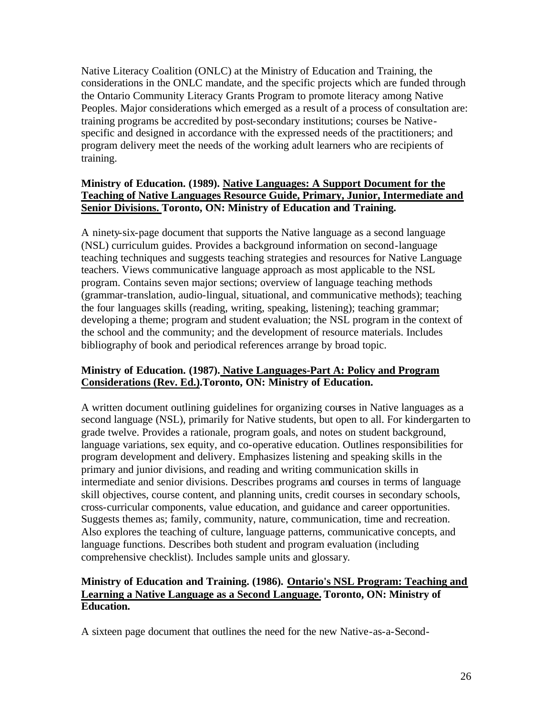Native Literacy Coalition (ONLC) at the Ministry of Education and Training, the considerations in the ONLC mandate, and the specific projects which are funded through the Ontario Community Literacy Grants Program to promote literacy among Native Peoples. Major considerations which emerged as a result of a process of consultation are: training programs be accredited by post-secondary institutions; courses be Nativespecific and designed in accordance with the expressed needs of the practitioners; and program delivery meet the needs of the working adult learners who are recipients of training.

## **Ministry of Education. (1989). Native Languages: A Support Document for the Teaching of Native Languages Resource Guide, Primary, Junior, Intermediate and Senior Divisions. Toronto, ON: Ministry of Education and Training.**

A ninety-six-page document that supports the Native language as a second language (NSL) curriculum guides. Provides a background information on second-language teaching techniques and suggests teaching strategies and resources for Native Language teachers. Views communicative language approach as most applicable to the NSL program. Contains seven major sections; overview of language teaching methods (grammar-translation, audio-lingual, situational, and communicative methods); teaching the four languages skills (reading, writing, speaking, listening); teaching grammar; developing a theme; program and student evaluation; the NSL program in the context of the school and the community; and the development of resource materials. Includes bibliography of book and periodical references arrange by broad topic.

## **Ministry of Education. (1987). Native Languages-Part A: Policy and Program Considerations (Rev. Ed.).Toronto, ON: Ministry of Education.**

A written document outlining guidelines for organizing courses in Native languages as a second language (NSL), primarily for Native students, but open to all. For kindergarten to grade twelve. Provides a rationale, program goals, and notes on student background, language variations, sex equity, and co-operative education. Outlines responsibilities for program development and delivery. Emphasizes listening and speaking skills in the primary and junior divisions, and reading and writing communication skills in intermediate and senior divisions. Describes programs and courses in terms of language skill objectives, course content, and planning units, credit courses in secondary schools, cross-curricular components, value education, and guidance and career opportunities. Suggests themes as; family, community, nature, communication, time and recreation. Also explores the teaching of culture, language patterns, communicative concepts, and language functions. Describes both student and program evaluation (including comprehensive checklist). Includes sample units and glossary.

## **Ministry of Education and Training. (1986). Ontario's NSL Program: Teaching and Learning a Native Language as a Second Language. Toronto, ON: Ministry of Education.**

A sixteen page document that outlines the need for the new Native-as-a-Second-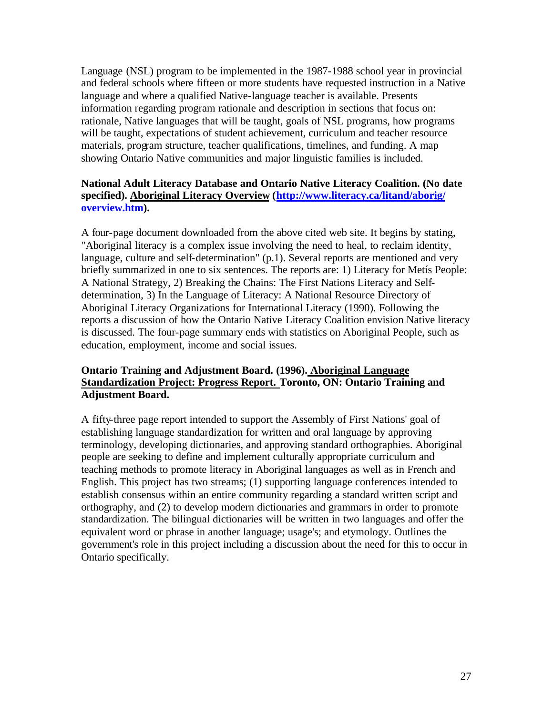Language (NSL) program to be implemented in the 1987-1988 school year in provincial and federal schools where fifteen or more students have requested instruction in a Native language and where a qualified Native-language teacher is available. Presents information regarding program rationale and description in sections that focus on: rationale, Native languages that will be taught, goals of NSL programs, how programs will be taught, expectations of student achievement, curriculum and teacher resource materials, program structure, teacher qualifications, timelines, and funding. A map showing Ontario Native communities and major linguistic families is included.

## **National Adult Literacy Database and Ontario Native Literacy Coalition. (No date [specified\). Aboriginal Literacy Overview \(http://www.literacy.ca/litand/aborig/](http://www.literacy.ca/litand/aborig/overview.htm) overview.htm).**

A four-page document downloaded from the above cited web site. It begins by stating, "Aboriginal literacy is a complex issue involving the need to heal, to reclaim identity, language, culture and self-determination" (p.1). Several reports are mentioned and very briefly summarized in one to six sentences. The reports are: 1) Literacy for Metís People: A National Strategy, 2) Breaking the Chains: The First Nations Literacy and Selfdetermination, 3) In the Language of Literacy: A National Resource Directory of Aboriginal Literacy Organizations for International Literacy (1990). Following the reports a discussion of how the Ontario Native Literacy Coalition envision Native literacy is discussed. The four-page summary ends with statistics on Aboriginal People, such as education, employment, income and social issues.

## **Ontario Training and Adjustment Board. (1996). Aboriginal Language Standardization Project: Progress Report. Toronto, ON: Ontario Training and Adjustment Board.**

A fifty-three page report intended to support the Assembly of First Nations' goal of establishing language standardization for written and oral language by approving terminology, developing dictionaries, and approving standard orthographies. Aboriginal people are seeking to define and implement culturally appropriate curriculum and teaching methods to promote literacy in Aboriginal languages as well as in French and English. This project has two streams; (1) supporting language conferences intended to establish consensus within an entire community regarding a standard written script and orthography, and (2) to develop modern dictionaries and grammars in order to promote standardization. The bilingual dictionaries will be written in two languages and offer the equivalent word or phrase in another language; usage's; and etymology. Outlines the government's role in this project including a discussion about the need for this to occur in Ontario specifically.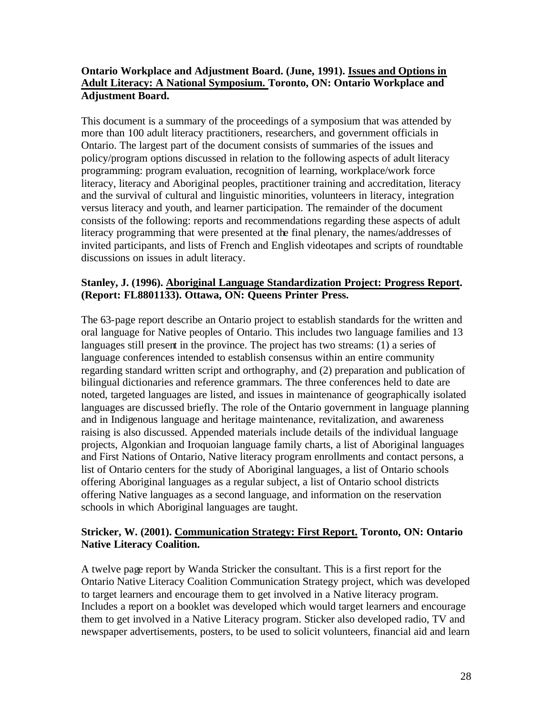## **Ontario Workplace and Adjustment Board. (June, 1991). Issues and Options in Adult Literacy: A National Symposium. Toronto, ON: Ontario Workplace and Adjustment Board.**

This document is a summary of the proceedings of a symposium that was attended by more than 100 adult literacy practitioners, researchers, and government officials in Ontario. The largest part of the document consists of summaries of the issues and policy/program options discussed in relation to the following aspects of adult literacy programming: program evaluation, recognition of learning, workplace/work force literacy, literacy and Aboriginal peoples, practitioner training and accreditation, literacy and the survival of cultural and linguistic minorities, volunteers in literacy, integration versus literacy and youth, and learner participation. The remainder of the document consists of the following: reports and recommendations regarding these aspects of adult literacy programming that were presented at the final plenary, the names/addresses of invited participants, and lists of French and English videotapes and scripts of roundtable discussions on issues in adult literacy.

#### **Stanley, J. (1996). Aboriginal Language Standardization Project: Progress Report. (Report: FL8801133). Ottawa, ON: Queens Printer Press.**

The 63-page report describe an Ontario project to establish standards for the written and oral language for Native peoples of Ontario. This includes two language families and 13 languages still present in the province. The project has two streams: (1) a series of language conferences intended to establish consensus within an entire community regarding standard written script and orthography, and (2) preparation and publication of bilingual dictionaries and reference grammars. The three conferences held to date are noted, targeted languages are listed, and issues in maintenance of geographically isolated languages are discussed briefly. The role of the Ontario government in language planning and in Indigenous language and heritage maintenance, revitalization, and awareness raising is also discussed. Appended materials include details of the individual language projects, Algonkian and Iroquoian language family charts, a list of Aboriginal languages and First Nations of Ontario, Native literacy program enrollments and contact persons, a list of Ontario centers for the study of Aboriginal languages, a list of Ontario schools offering Aboriginal languages as a regular subject, a list of Ontario school districts offering Native languages as a second language, and information on the reservation schools in which Aboriginal languages are taught.

## **Stricker, W. (2001). Communication Strategy: First Report. Toronto, ON: Ontario Native Literacy Coalition.**

A twelve page report by Wanda Stricker the consultant. This is a first report for the Ontario Native Literacy Coalition Communication Strategy project, which was developed to target learners and encourage them to get involved in a Native literacy program. Includes a report on a booklet was developed which would target learners and encourage them to get involved in a Native Literacy program. Sticker also developed radio, TV and newspaper advertisements, posters, to be used to solicit volunteers, financial aid and learn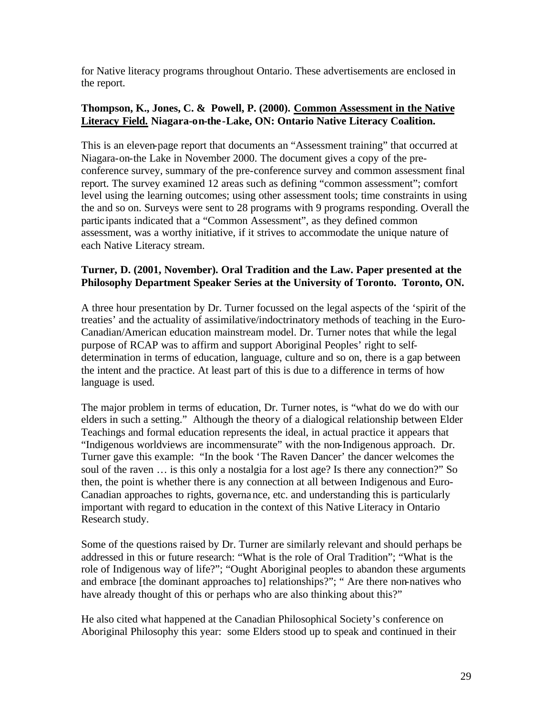for Native literacy programs throughout Ontario. These advertisements are enclosed in the report.

#### **Thompson, K., Jones, C. & Powell, P. (2000). Common Assessment in the Native Literacy Field. Niagara-on-the-Lake, ON: Ontario Native Literacy Coalition.**

This is an eleven-page report that documents an "Assessment training" that occurred at Niagara-on-the Lake in November 2000. The document gives a copy of the preconference survey, summary of the pre-conference survey and common assessment final report. The survey examined 12 areas such as defining "common assessment"; comfort level using the learning outcomes; using other assessment tools; time constraints in using the and so on. Surveys were sent to 28 programs with 9 programs responding. Overall the participants indicated that a "Common Assessment", as they defined common assessment, was a worthy initiative, if it strives to accommodate the unique nature of each Native Literacy stream.

## **Turner, D. (2001, November). Oral Tradition and the Law. Paper presented at the Philosophy Department Speaker Series at the University of Toronto. Toronto, ON.**

A three hour presentation by Dr. Turner focussed on the legal aspects of the 'spirit of the treaties' and the actuality of assimilative/indoctrinatory methods of teaching in the Euro-Canadian/American education mainstream model. Dr. Turner notes that while the legal purpose of RCAP was to affirm and support Aboriginal Peoples' right to selfdetermination in terms of education, language, culture and so on, there is a gap between the intent and the practice. At least part of this is due to a difference in terms of how language is used.

The major problem in terms of education, Dr. Turner notes, is "what do we do with our elders in such a setting." Although the theory of a dialogical relationship between Elder Teachings and formal education represents the ideal, in actual practice it appears that "Indigenous worldviews are incommensurate" with the non-Indigenous approach. Dr. Turner gave this example: "In the book 'The Raven Dancer' the dancer welcomes the soul of the raven … is this only a nostalgia for a lost age? Is there any connection?" So then, the point is whether there is any connection at all between Indigenous and Euro-Canadian approaches to rights, governance, etc. and understanding this is particularly important with regard to education in the context of this Native Literacy in Ontario Research study.

Some of the questions raised by Dr. Turner are similarly relevant and should perhaps be addressed in this or future research: "What is the role of Oral Tradition"; "What is the role of Indigenous way of life?"; "Ought Aboriginal peoples to abandon these arguments and embrace [the dominant approaches to] relationships?"; " Are there non-natives who have already thought of this or perhaps who are also thinking about this?"

He also cited what happened at the Canadian Philosophical Society's conference on Aboriginal Philosophy this year: some Elders stood up to speak and continued in their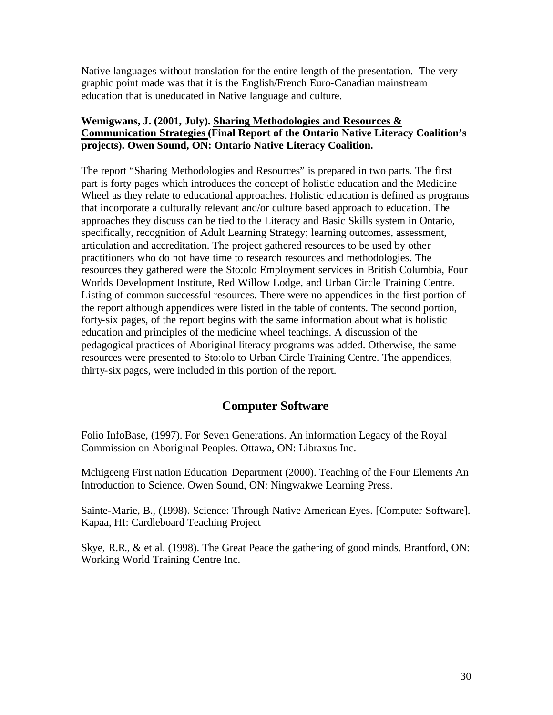<span id="page-29-0"></span>Native languages without translation for the entire length of the presentation. The very graphic point made was that it is the English/French Euro-Canadian mainstream education that is uneducated in Native language and culture.

#### **Wemigwans, J. (2001, July). Sharing Methodologies and Resources & Communication Strategies (Final Report of the Ontario Native Literacy Coalition's projects). Owen Sound, ON: Ontario Native Literacy Coalition.**

The report "Sharing Methodologies and Resources" is prepared in two parts. The first part is forty pages which introduces the concept of holistic education and the Medicine Wheel as they relate to educational approaches. Holistic education is defined as programs that incorporate a culturally relevant and/or culture based approach to education. The approaches they discuss can be tied to the Literacy and Basic Skills system in Ontario, specifically, recognition of Adult Learning Strategy; learning outcomes, assessment, articulation and accreditation. The project gathered resources to be used by other practitioners who do not have time to research resources and methodologies. The resources they gathered were the Sto:olo Employment services in British Columbia, Four Worlds Development Institute, Red Willow Lodge, and Urban Circle Training Centre. Listing of common successful resources. There were no appendices in the first portion of the report although appendices were listed in the table of contents. The second portion, forty-six pages, of the report begins with the same information about what is holistic education and principles of the medicine wheel teachings. A discussion of the pedagogical practices of Aboriginal literacy programs was added. Otherwise, the same resources were presented to Sto:olo to Urban Circle Training Centre. The appendices, thirty-six pages, were included in this portion of the report.

## **Computer Software**

Folio InfoBase, (1997). For Seven Generations. An information Legacy of the Royal Commission on Aboriginal Peoples. Ottawa, ON: Libraxus Inc.

Mchigeeng First nation Education Department (2000). Teaching of the Four Elements An Introduction to Science. Owen Sound, ON: Ningwakwe Learning Press.

Sainte-Marie, B., (1998). Science: Through Native American Eyes. [Computer Software]. Kapaa, HI: Cardleboard Teaching Project

Skye, R.R., & et al. (1998). The Great Peace the gathering of good minds. Brantford, ON: Working World Training Centre Inc.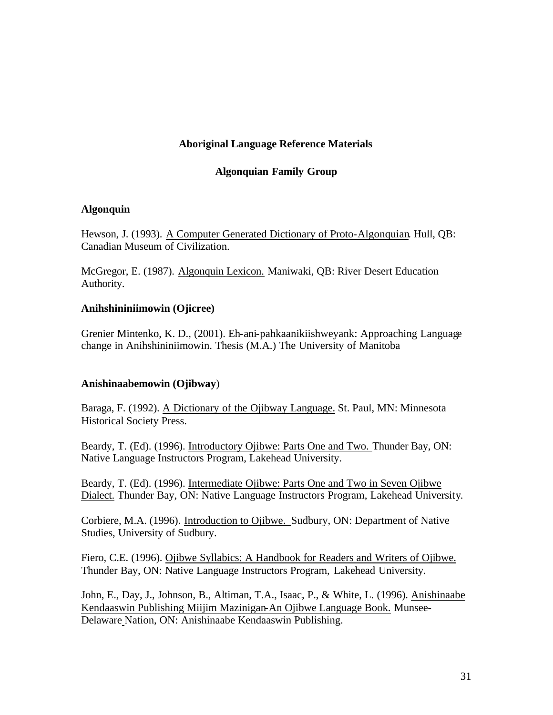#### **Aboriginal Language Reference Materials**

#### **Algonquian Family Group**

#### <span id="page-30-0"></span>**Algonquin**

Hewson, J. (1993). A Computer Generated Dictionary of Proto-Algonquian. Hull, QB: Canadian Museum of Civilization.

McGregor, E. (1987). Algonquin Lexicon. Maniwaki, QB: River Desert Education Authority.

#### **Anihshininiimowin (Ojicree)**

Grenier Mintenko, K. D., (2001). Eh-ani-pahkaanikiishweyank: Approaching Language change in Anihshininiimowin. Thesis (M.A.) The University of Manitoba

#### **Anishinaabemowin (Ojibway**)

Baraga, F. (1992). A Dictionary of the Ojibway Language. St. Paul, MN: Minnesota Historical Society Press.

Beardy, T. (Ed). (1996). Introductory Ojibwe: Parts One and Two. Thunder Bay, ON: Native Language Instructors Program, Lakehead University.

Beardy, T. (Ed). (1996). Intermediate Ojibwe: Parts One and Two in Seven Ojibwe Dialect. Thunder Bay, ON: Native Language Instructors Program, Lakehead University.

Corbiere, M.A. (1996). Introduction to Ojibwe. Sudbury, ON: Department of Native Studies, University of Sudbury.

Fiero, C.E. (1996). Ojibwe Syllabics: A Handbook for Readers and Writers of Ojibwe. Thunder Bay, ON: Native Language Instructors Program, Lakehead University.

John, E., Day, J., Johnson, B., Altiman, T.A., Isaac, P., & White, L. (1996). Anishinaabe Kendaaswin Publishing Miijim Mazinigan-An Ojibwe Language Book. Munsee-Delaware Nation, ON: Anishinaabe Kendaaswin Publishing.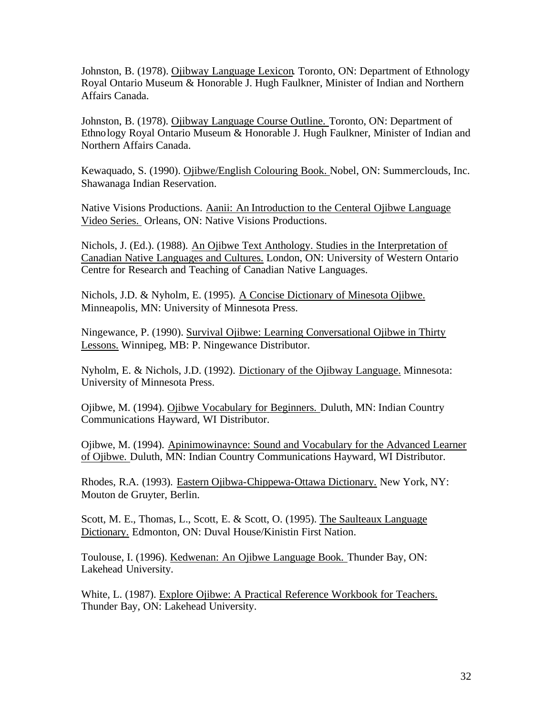Johnston, B. (1978). Ojibway Language Lexicon. Toronto, ON: Department of Ethnology Royal Ontario Museum & Honorable J. Hugh Faulkner, Minister of Indian and Northern Affairs Canada.

Johnston, B. (1978). Ojibway Language Course Outline. Toronto, ON: Department of Ethnology Royal Ontario Museum & Honorable J. Hugh Faulkner, Minister of Indian and Northern Affairs Canada.

Kewaquado, S. (1990). Ojibwe/English Colouring Book. Nobel, ON: Summerclouds, Inc. Shawanaga Indian Reservation.

Native Visions Productions. Aanii: An Introduction to the Centeral Ojibwe Language Video Series. Orleans, ON: Native Visions Productions.

Nichols, J. (Ed.). (1988). An Ojibwe Text Anthology. Studies in the Interpretation of Canadian Native Languages and Cultures. London, ON: University of Western Ontario Centre for Research and Teaching of Canadian Native Languages.

Nichols, J.D. & Nyholm, E. (1995). A Concise Dictionary of Minesota Ojibwe. Minneapolis, MN: University of Minnesota Press.

Ningewance, P. (1990). Survival Ojibwe: Learning Conversational Ojibwe in Thirty Lessons. Winnipeg, MB: P. Ningewance Distributor.

Nyholm, E. & Nichols, J.D. (1992). Dictionary of the Ojibway Language. Minnesota: University of Minnesota Press.

Ojibwe, M. (1994). Ojibwe Vocabulary for Beginners. Duluth, MN: Indian Country Communications Hayward, WI Distributor.

Ojibwe, M. (1994). Apinimowinaynce: Sound and Vocabulary for the Advanced Learner of Ojibwe. Duluth, MN: Indian Country Communications Hayward, WI Distributor.

Rhodes, R.A. (1993). Eastern Ojibwa-Chippewa-Ottawa Dictionary. New York, NY: Mouton de Gruyter, Berlin.

Scott, M. E., Thomas, L., Scott, E. & Scott, O. (1995). The Saulteaux Language Dictionary. Edmonton, ON: Duval House/Kinistin First Nation.

Toulouse, I. (1996). Kedwenan: An Ojibwe Language Book. Thunder Bay, ON: Lakehead University.

White, L. (1987). Explore Ojibwe: A Practical Reference Workbook for Teachers. Thunder Bay, ON: Lakehead University.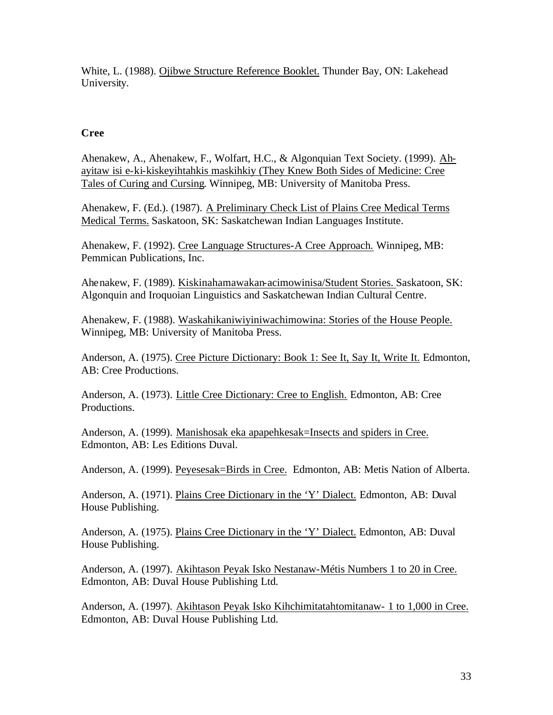<span id="page-32-0"></span>White, L. (1988). Ojibwe Structure Reference Booklet. Thunder Bay, ON: Lakehead University.

## **Cree**

Ahenakew, A., Ahenakew, F., Wolfart, H.C., & Algonquian Text Society. (1999). Ahayitaw isi e-ki-kiskeyihtahkis maskihkiy (They Knew Both Sides of Medicine: Cree Tales of Curing and Cursing. Winnipeg, MB: University of Manitoba Press.

Ahenakew, F. (Ed.). (1987). A Preliminary Check List of Plains Cree Medical Terms Medical Terms. Saskatoon, SK: Saskatchewan Indian Languages Institute.

Ahenakew, F. (1992). Cree Language Structures-A Cree Approach. Winnipeg, MB: Pemmican Publications, Inc.

Ahenakew, F. (1989). Kiskinahamawakan-acimowinisa/Student Stories. Saskatoon, SK: Algonquin and Iroquoian Linguistics and Saskatchewan Indian Cultural Centre.

Ahenakew, F. (1988). Waskahikaniwiyiniwachimowina: Stories of the House People. Winnipeg, MB: University of Manitoba Press.

Anderson, A. (1975). Cree Picture Dictionary: Book 1: See It, Say It, Write It. Edmonton, AB: Cree Productions.

Anderson, A. (1973). Little Cree Dictionary: Cree to English. Edmonton, AB: Cree Productions.

Anderson, A. (1999). Manishosak eka apapehkesak=Insects and spiders in Cree. Edmonton, AB: Les Editions Duval.

Anderson, A. (1999). Peyesesak=Birds in Cree. Edmonton, AB: Metis Nation of Alberta.

Anderson, A. (1971). Plains Cree Dictionary in the 'Y' Dialect. Edmonton, AB: Duval House Publishing.

Anderson, A. (1975). Plains Cree Dictionary in the 'Y' Dialect. Edmonton, AB: Duval House Publishing.

Anderson, A. (1997). Akihtason Peyak Isko Nestanaw-Métis Numbers 1 to 20 in Cree. Edmonton, AB: Duval House Publishing Ltd.

Anderson, A. (1997). Akihtason Peyak Isko Kihchimitatahtomitanaw- 1 to 1,000 in Cree. Edmonton, AB: Duval House Publishing Ltd.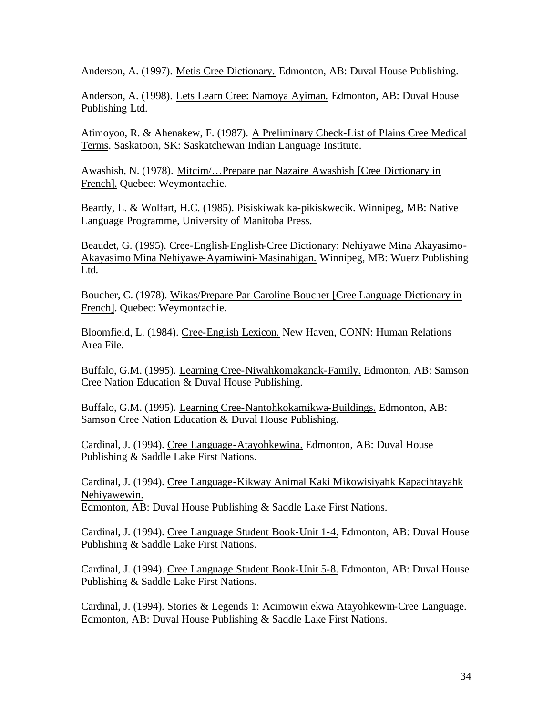Anderson, A. (1997). Metis Cree Dictionary. Edmonton, AB: Duval House Publishing.

Anderson, A. (1998). Lets Learn Cree: Namoya Ayiman. Edmonton, AB: Duval House Publishing Ltd.

Atimoyoo, R. & Ahenakew, F. (1987). A Preliminary Check-List of Plains Cree Medical Terms. Saskatoon, SK: Saskatchewan Indian Language Institute.

Awashish, N. (1978). Mitcim/…Prepare par Nazaire Awashish [Cree Dictionary in French]. Quebec: Weymontachie.

Beardy, L. & Wolfart, H.C. (1985). Pisiskiwak ka-pikiskwecik. Winnipeg, MB: Native Language Programme, University of Manitoba Press.

Beaudet, G. (1995). Cree-English-English-Cree Dictionary: Nehiyawe Mina Akayasimo-Akayasimo Mina Nehiyawe-Ayamiwini-Masinahigan. Winnipeg, MB: Wuerz Publishing Ltd.

Boucher, C. (1978). Wikas/Prepare Par Caroline Boucher [Cree Language Dictionary in French]. Quebec: Weymontachie.

Bloomfield, L. (1984). Cree-English Lexicon. New Haven, CONN: Human Relations Area File.

Buffalo, G.M. (1995). Learning Cree-Niwahkomakanak-Family. Edmonton, AB: Samson Cree Nation Education & Duval House Publishing.

Buffalo, G.M. (1995). Learning Cree-Nantohkokamikwa-Buildings. Edmonton, AB: Samson Cree Nation Education & Duval House Publishing.

Cardinal, J. (1994). Cree Language-Atayohkewina. Edmonton, AB: Duval House Publishing & Saddle Lake First Nations.

Cardinal, J. (1994). Cree Language-Kikway Animal Kaki Mikowisiyahk Kapacihtayahk Nehiyawewin. Edmonton, AB: Duval House Publishing & Saddle Lake First Nations.

Cardinal, J. (1994). Cree Language Student Book-Unit 1-4. Edmonton, AB: Duval House Publishing & Saddle Lake First Nations.

Cardinal, J. (1994). Cree Language Student Book-Unit 5-8. Edmonton, AB: Duval House Publishing & Saddle Lake First Nations.

Cardinal, J. (1994). Stories & Legends 1: Acimowin ekwa Atayohkewin-Cree Language. Edmonton, AB: Duval House Publishing & Saddle Lake First Nations.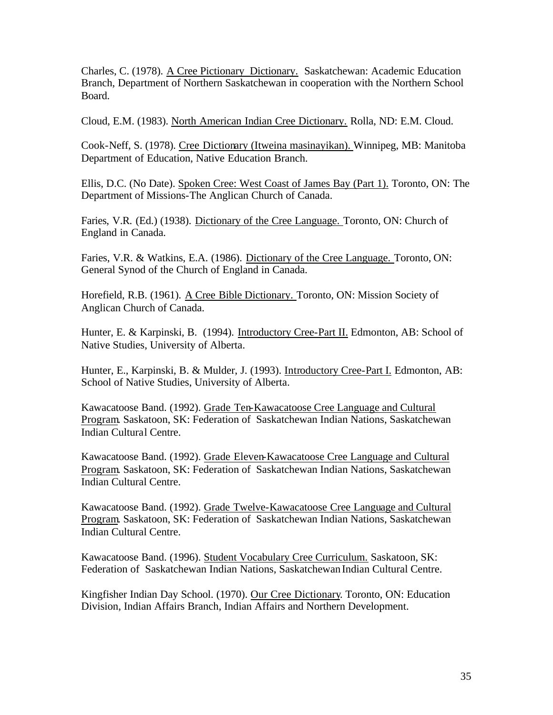Charles, C. (1978). A Cree Pictionary Dictionary. Saskatchewan: Academic Education Branch, Department of Northern Saskatchewan in cooperation with the Northern School Board.

Cloud, E.M. (1983). North American Indian Cree Dictionary. Rolla, ND: E.M. Cloud.

Cook-Neff, S. (1978). Cree Dictionary (Itweina masinayikan). Winnipeg, MB: Manitoba Department of Education, Native Education Branch.

Ellis, D.C. (No Date). Spoken Cree: West Coast of James Bay (Part 1). Toronto, ON: The Department of Missions-The Anglican Church of Canada.

Faries, V.R. (Ed.) (1938). Dictionary of the Cree Language. Toronto, ON: Church of England in Canada.

Faries, V.R. & Watkins, E.A. (1986). Dictionary of the Cree Language. Toronto, ON: General Synod of the Church of England in Canada.

Horefield, R.B. (1961). A Cree Bible Dictionary. Toronto, ON: Mission Society of Anglican Church of Canada.

Hunter, E. & Karpinski, B. (1994). Introductory Cree-Part II. Edmonton, AB: School of Native Studies, University of Alberta.

Hunter, E., Karpinski, B. & Mulder, J. (1993). Introductory Cree-Part I. Edmonton, AB: School of Native Studies, University of Alberta.

Kawacatoose Band. (1992). Grade Ten-Kawacatoose Cree Language and Cultural Program. Saskatoon, SK: Federation of Saskatchewan Indian Nations, Saskatchewan Indian Cultural Centre.

Kawacatoose Band. (1992). Grade Eleven-Kawacatoose Cree Language and Cultural Program. Saskatoon, SK: Federation of Saskatchewan Indian Nations, Saskatchewan Indian Cultural Centre.

Kawacatoose Band. (1992). Grade Twelve-Kawacatoose Cree Language and Cultural Program. Saskatoon, SK: Federation of Saskatchewan Indian Nations, Saskatchewan Indian Cultural Centre.

Kawacatoose Band. (1996). Student Vocabulary Cree Curriculum. Saskatoon, SK: Federation of Saskatchewan Indian Nations, Saskatchewan Indian Cultural Centre.

Kingfisher Indian Day School. (1970). Our Cree Dictionary. Toronto, ON: Education Division, Indian Affairs Branch, Indian Affairs and Northern Development.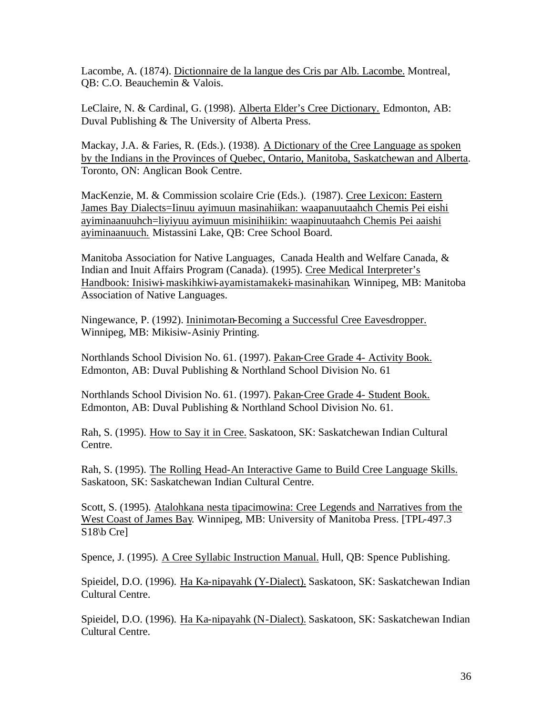Lacombe, A. (1874). Dictionnaire de la langue des Cris par Alb. Lacombe. Montreal, QB: C.O. Beauchemin & Valois.

LeClaire, N. & Cardinal, G. (1998). Alberta Elder's Cree Dictionary. Edmonton, AB: Duval Publishing & The University of Alberta Press.

Mackay, J.A. & Faries, R. (Eds.). (1938). A Dictionary of the Cree Language as spoken by the Indians in the Provinces of Quebec, Ontario, Manitoba, Saskatchewan and Alberta. Toronto, ON: Anglican Book Centre.

MacKenzie, M. & Commission scolaire Crie (Eds.). (1987). Cree Lexicon: Eastern James Bay Dialects=Iinuu ayimuun masinahiikan: waapanuutaahch Chemis Pei eishi ayiminaanuuhch=liyiyuu ayimuun misinihiikin: waapinuutaahch Chemis Pei aaishi ayiminaanuuch. Mistassini Lake, QB: Cree School Board.

Manitoba Association for Native Languages, Canada Health and Welfare Canada, & Indian and Inuit Affairs Program (Canada). (1995). Cree Medical Interpreter's Handbook: Inisiwi-maskihkiwi-ayamistamakeki-masinahikan. Winnipeg, MB: Manitoba Association of Native Languages.

Ningewance, P. (1992). Ininimotan-Becoming a Successful Cree Eavesdropper. Winnipeg, MB: Mikisiw-Asiniy Printing.

Northlands School Division No. 61. (1997). Pakan-Cree Grade 4- Activity Book. Edmonton, AB: Duval Publishing & Northland School Division No. 61

Northlands School Division No. 61. (1997). Pakan-Cree Grade 4- Student Book. Edmonton, AB: Duval Publishing & Northland School Division No. 61.

Rah, S. (1995). How to Say it in Cree. Saskatoon, SK: Saskatchewan Indian Cultural Centre.

Rah, S. (1995). The Rolling Head-An Interactive Game to Build Cree Language Skills. Saskatoon, SK: Saskatchewan Indian Cultural Centre.

Scott, S. (1995). Atalohkana nesta tipacimowina: Cree Legends and Narratives from the West Coast of James Bay. Winnipeg, MB: University of Manitoba Press. [TPL-497.3 S<sub>18</sub>\b Cre]

Spence, J. (1995). A Cree Syllabic Instruction Manual. Hull, QB: Spence Publishing.

Spieidel, D.O. (1996). Ha Ka-nipayahk (Y-Dialect). Saskatoon, SK: Saskatchewan Indian Cultural Centre.

Spieidel, D.O. (1996). Ha Ka-nipayahk (N-Dialect). Saskatoon, SK: Saskatchewan Indian Cultural Centre.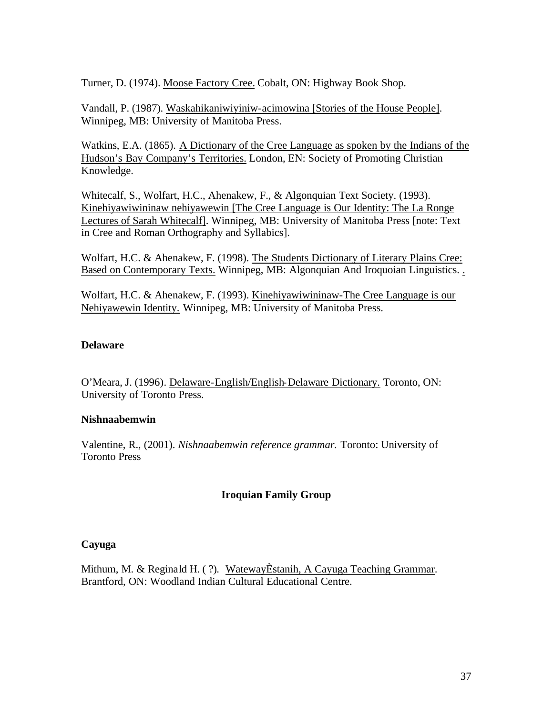<span id="page-36-0"></span>Turner, D. (1974). Moose Factory Cree. Cobalt, ON: Highway Book Shop.

Vandall, P. (1987). Waskahikaniwiyiniw-acimowina [Stories of the House People]. Winnipeg, MB: University of Manitoba Press.

Watkins, E.A. (1865). A Dictionary of the Cree Language as spoken by the Indians of the Hudson's Bay Company's Territories. London, EN: Society of Promoting Christian Knowledge.

Whitecalf, S., Wolfart, H.C., Ahenakew, F., & Algonquian Text Society. (1993). Kinehiyawiwininaw nehiyawewin [The Cree Language is Our Identity: The La Ronge Lectures of Sarah Whitecalf]. Winnipeg, MB: University of Manitoba Press [note: Text in Cree and Roman Orthography and Syllabics].

Wolfart, H.C. & Ahenakew, F. (1998). The Students Dictionary of Literary Plains Cree: Based on Contemporary Texts. Winnipeg, MB: Algonquian And Iroquoian Linguistics. .

Wolfart, H.C. & Ahenakew, F. (1993). Kinehiyawiwininaw-The Cree Language is our Nehiyawewin Identity. Winnipeg, MB: University of Manitoba Press.

#### **Delaware**

O'Meara, J. (1996). Delaware-English/English-Delaware Dictionary. Toronto, ON: University of Toronto Press.

#### **Nishnaabemwin**

Valentine, R., (2001). *Nishnaabemwin reference grammar.* Toronto: University of Toronto Press

## **Iroquian Family Group**

#### **Cayuga**

Mithum, M. & Reginald H. ( ?). WatewayÈstanih, A Cayuga Teaching Grammar. Brantford, ON: Woodland Indian Cultural Educational Centre.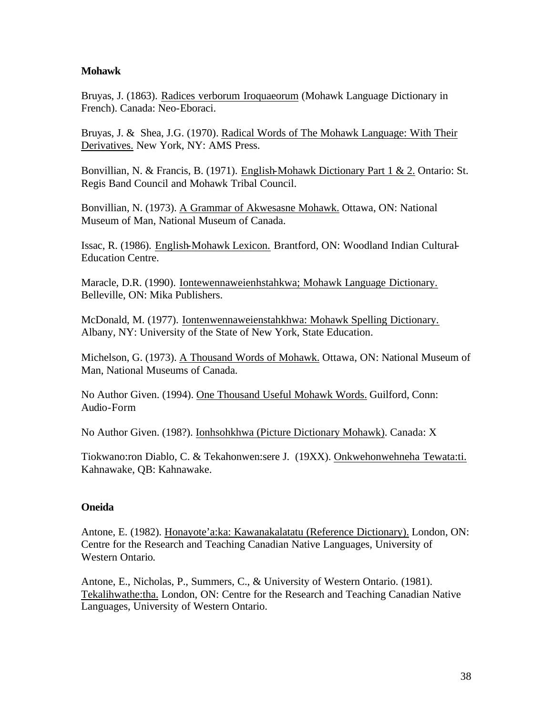#### <span id="page-37-0"></span>**Mohawk**

Bruyas, J. (1863). Radices verborum Iroquaeorum (Mohawk Language Dictionary in French). Canada: Neo-Eboraci.

Bruyas, J. & Shea, J.G. (1970). Radical Words of The Mohawk Language: With Their Derivatives. New York, NY: AMS Press.

Bonvillian, N. & Francis, B. (1971). English-Mohawk Dictionary Part 1 & 2. Ontario: St. Regis Band Council and Mohawk Tribal Council.

Bonvillian, N. (1973). A Grammar of Akwesasne Mohawk. Ottawa, ON: National Museum of Man, National Museum of Canada.

Issac, R. (1986). English-Mohawk Lexicon. Brantford, ON: Woodland Indian Cultural-Education Centre.

Maracle, D.R. (1990). Iontewennaweienhstahkwa; Mohawk Language Dictionary. Belleville, ON: Mika Publishers.

McDonald, M. (1977). Iontenwennaweienstahkhwa: Mohawk Spelling Dictionary. Albany, NY: University of the State of New York, State Education.

Michelson, G. (1973). A Thousand Words of Mohawk. Ottawa, ON: National Museum of Man, National Museums of Canada.

No Author Given. (1994). One Thousand Useful Mohawk Words. Guilford, Conn: Audio-Form

No Author Given. (198?). Ionhsohkhwa (Picture Dictionary Mohawk). Canada: X

Tiokwano:ron Diablo, C. & Tekahonwen:sere J. (19XX). Onkwehonwehneha Tewata:ti. Kahnawake, QB: Kahnawake.

## **Oneida**

Antone, E. (1982). Honayote'a:ka: Kawanakalatatu (Reference Dictionary). London, ON: Centre for the Research and Teaching Canadian Native Languages, University of Western Ontario.

Antone, E., Nicholas, P., Summers, C., & University of Western Ontario. (1981). Tekalihwathe:tha. London, ON: Centre for the Research and Teaching Canadian Native Languages, University of Western Ontario.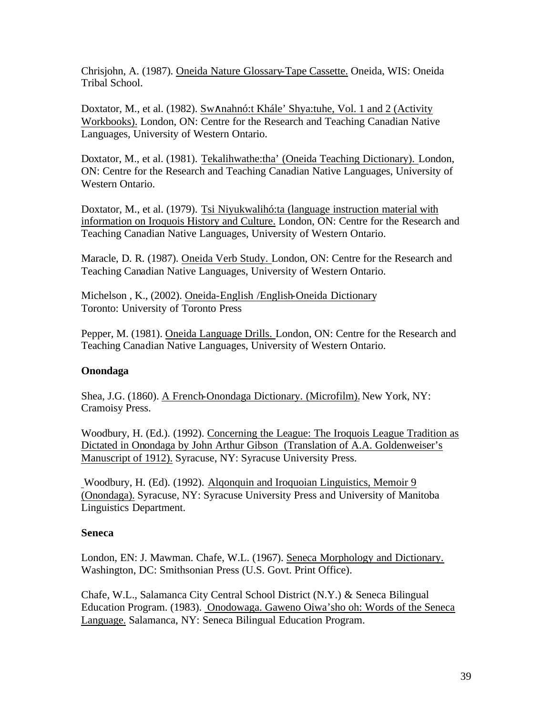<span id="page-38-0"></span>Chrisjohn, A. (1987). Oneida Nature Glossary-Tape Cassette. Oneida, WIS: Oneida Tribal School.

Doxtator, M., et al. (1982). Sw∧nahnó:t Khále' Shya:tuhe, Vol. 1 and 2 (Activity Workbooks). London, ON: Centre for the Research and Teaching Canadian Native Languages, University of Western Ontario.

Doxtator, M., et al. (1981). Tekalihwathe:tha' (Oneida Teaching Dictionary). London, ON: Centre for the Research and Teaching Canadian Native Languages, University of Western Ontario.

Doxtator, M., et al. (1979). Tsi Niyukwalihó:ta (language instruction material with information on Iroquois History and Culture. London, ON: Centre for the Research and Teaching Canadian Native Languages, University of Western Ontario.

Maracle, D. R. (1987). Oneida Verb Study. London, ON: Centre for the Research and Teaching Canadian Native Languages, University of Western Ontario.

Michelson , K., (2002). Oneida-English /English-Oneida Dictionary Toronto: University of Toronto Press

Pepper, M. (1981). Oneida Language Drills. London, ON: Centre for the Research and Teaching Canadian Native Languages, University of Western Ontario.

## **Onondaga**

Shea, J.G. (1860). A French-Onondaga Dictionary. (Microfilm). New York, NY: Cramoisy Press.

Woodbury, H. (Ed.). (1992). Concerning the League: The Iroquois League Tradition as Dictated in Onondaga by John Arthur Gibson (Translation of A.A. Goldenweiser's Manuscript of 1912). Syracuse, NY: Syracuse University Press.

Woodbury, H. (Ed). (1992). Alqonquin and Iroquoian Linguistics, Memoir 9 (Onondaga). Syracuse, NY: Syracuse University Press and University of Manitoba Linguistics Department.

#### **Seneca**

London, EN: J. Mawman. Chafe, W.L. (1967). Seneca Morphology and Dictionary. Washington, DC: Smithsonian Press (U.S. Govt. Print Office).

Chafe, W.L., Salamanca City Central School District (N.Y.) & Seneca Bilingual Education Program. (1983). Onodowaga. Gaweno Oiwa'sho oh: Words of the Seneca Language. Salamanca, NY: Seneca Bilingual Education Program.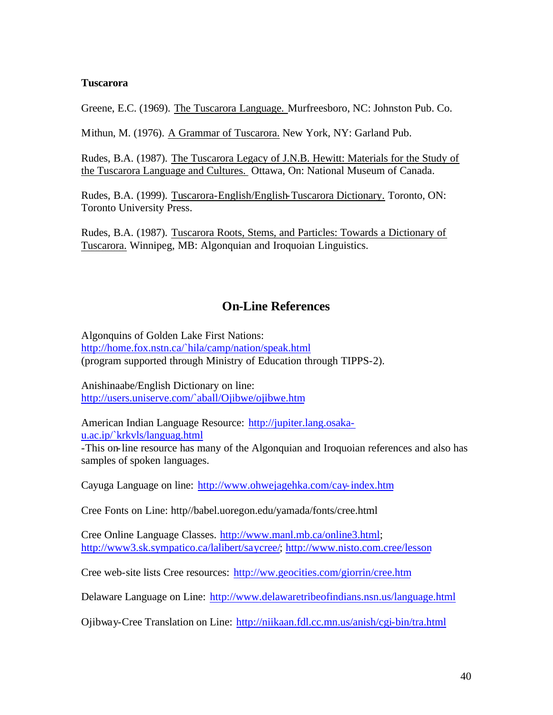#### <span id="page-39-0"></span>**Tuscarora**

Greene, E.C. (1969). The Tuscarora Language. Murfreesboro, NC: Johnston Pub. Co.

Mithun, M. (1976). A Grammar of Tuscarora. New York, NY: Garland Pub.

Rudes, B.A. (1987). The Tuscarora Legacy of J.N.B. Hewitt: Materials for the Study of the Tuscarora Language and Cultures. Ottawa, On: National Museum of Canada.

Rudes, B.A. (1999). Tuscarora-English/English-Tuscarora Dictionary. Toronto, ON: Toronto University Press.

Rudes, B.A. (1987). Tuscarora Roots, Stems, and Particles: Towards a Dictionary of Tuscarora. Winnipeg, MB: Algonquian and Iroquoian Linguistics.

## **On-Line References**

Algonquins of Golden Lake First Nations: <http://home.fox.nstn.ca/`hila/camp/nation/speak.html> (program supported through Ministry of Education through TIPPS-2).

Anishinaabe/English Dictionary on line: <http://users.uniserve.com/`aball/Ojibwe/ojibwe.htm>

[American Indian Language Resource: http://jupiter.lang.osaka](http://jupiter.lang.osakau.ac.ip/`krkvls/languag.html)u.ac.ip/`krkvls/languag.html

-This on-line resource has many of the Algonquian and Iroquoian references and also has samples of spoken languages.

Cayuga Language on line: <http://www.ohwejagehka.com/cay-index.htm>

Cree Fonts on Line: http//babel.uoregon.edu/yamada/fonts/cree.html

Cree Online Language Classes. [http://www.manl.mb.ca/online3.html;](http://www.manl.mb.ca/online3.html) [http://www3.sk.sympatico.ca/lalibert/saycree/;](http://www3.sk.sympatico.ca/lalibert/saycree/) <http://www.nisto.com.cree/lesson>

Cree web-site lists Cree resources: <http://ww.geocities.com/giorrin/cree.htm>

Delaware Language on Line: <http://www.delawaretribeofindians.nsn.us/language.html>

Ojibway-Cree Translation on Line: <http://niikaan.fdl.cc.mn.us/anish/cgi-bin/tra.html>